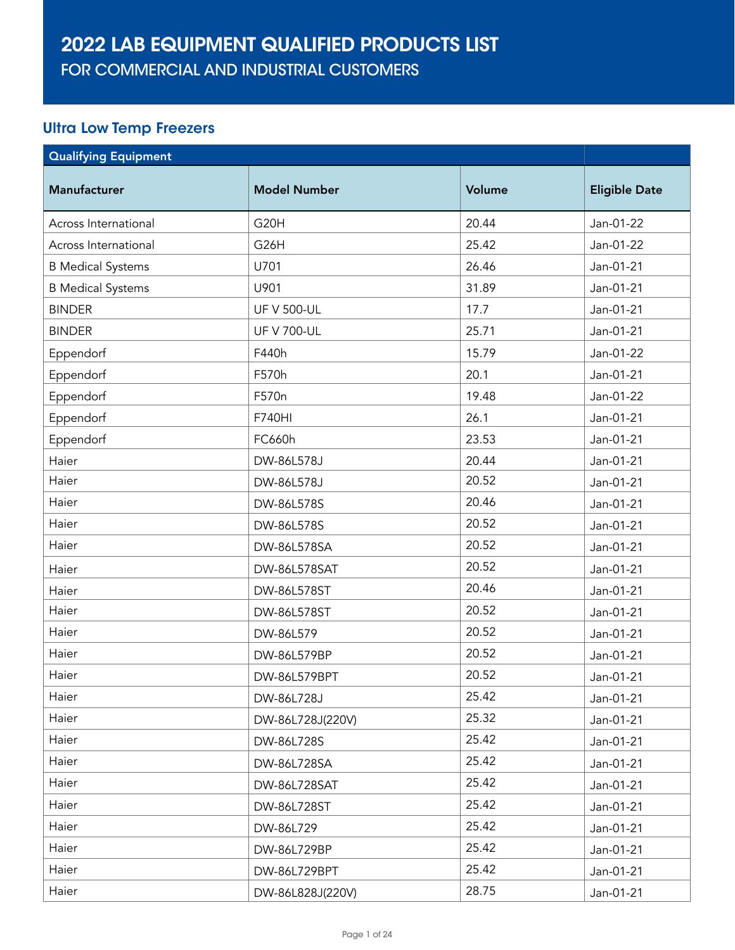FOR COMMERCIAL AND INDUSTRIAL CUSTOMERS

#### Ultra Low Temp Freezers

| <b>Qualifying Equipment</b> |                     |        |                      |
|-----------------------------|---------------------|--------|----------------------|
| <b>Manufacturer</b>         | <b>Model Number</b> | Volume | <b>Eligible Date</b> |
| Across International        | G <sub>20</sub> H   | 20.44  | Jan-01-22            |
| Across International        | G <sub>26</sub> H   | 25.42  | Jan-01-22            |
| <b>B Medical Systems</b>    | U701                | 26.46  | Jan-01-21            |
| <b>B</b> Medical Systems    | U901                | 31.89  | Jan-01-21            |
| <b>BINDER</b>               | <b>UF V 500-UL</b>  | 17.7   | Jan-01-21            |
| <b>BINDER</b>               | <b>UF V 700-UL</b>  | 25.71  | Jan-01-21            |
| Eppendorf                   | F440h               | 15.79  | Jan-01-22            |
| Eppendorf                   | F570h               | 20.1   | Jan-01-21            |
| Eppendorf                   | F570n               | 19.48  | Jan-01-22            |
| Eppendorf                   | F740HI              | 26.1   | Jan-01-21            |
| Eppendorf                   | FC660h              | 23.53  | Jan-01-21            |
| Haier                       | DW-86L578J          | 20.44  | Jan-01-21            |
| Haier                       | DW-86L578J          | 20.52  | Jan-01-21            |
| Haier                       | DW-86L578S          | 20.46  | Jan-01-21            |
| Haier                       | DW-86L578S          | 20.52  | Jan-01-21            |
| Haier                       | DW-86L578SA         | 20.52  | Jan-01-21            |
| Haier                       | DW-86L578SAT        | 20.52  | Jan-01-21            |
| Haier                       | DW-86L578ST         | 20.46  | Jan-01-21            |
| Haier                       | DW-86L578ST         | 20.52  | Jan-01-21            |
| Haier                       | DW-86L579           | 20.52  | Jan-01-21            |
| Haier                       | DW-86L579BP         | 20.52  | Jan-01-21            |
| Haier                       | DW-86L579BPT        | 20.52  | Jan-01-21            |
| Haier                       | DW-86L728J          | 25.42  | Jan-01-21            |
| Haier                       | DW-86L728J(220V)    | 25.32  | Jan-01-21            |
| Haier                       | DW-86L728S          | 25.42  | Jan-01-21            |
| Haier                       | DW-86L728SA         | 25.42  | Jan-01-21            |
| Haier                       | DW-86L728SAT        | 25.42  | Jan-01-21            |
| Haier                       | DW-86L728ST         | 25.42  | Jan-01-21            |
| Haier                       | DW-86L729           | 25.42  | Jan-01-21            |
| Haier                       | DW-86L729BP         | 25.42  | Jan-01-21            |
| Haier                       | DW-86L729BPT        | 25.42  | Jan-01-21            |
| Haier                       | DW-86L828J(220V)    | 28.75  | Jan-01-21            |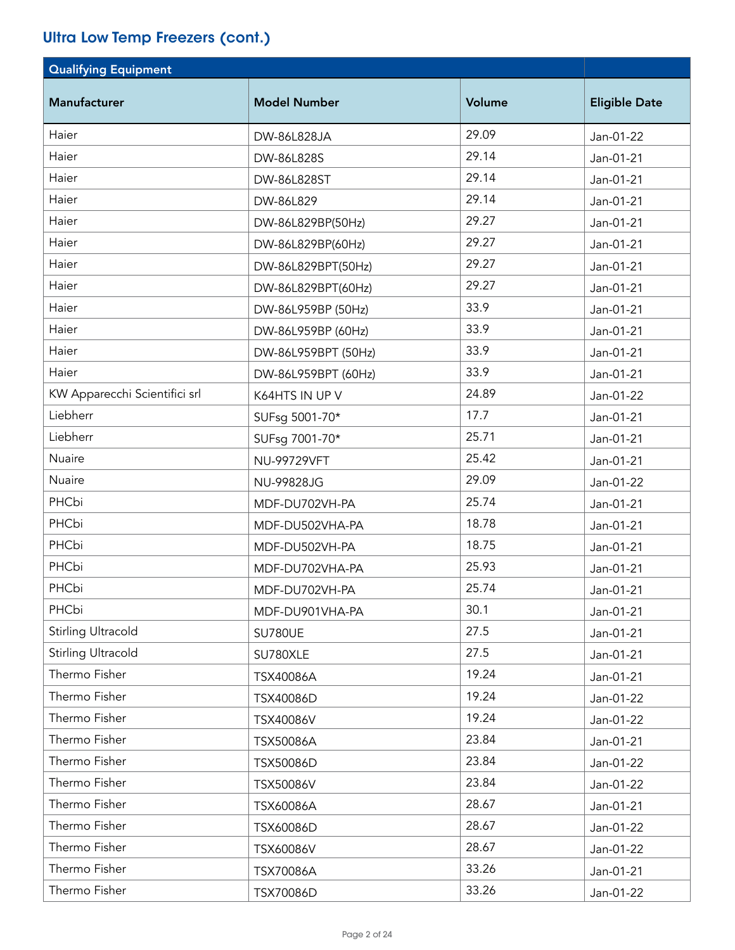### Ultra Low Temp Freezers (cont.)

| <b>Qualifying Equipment</b>   |                     |        |                      |
|-------------------------------|---------------------|--------|----------------------|
| Manufacturer                  | <b>Model Number</b> | Volume | <b>Eligible Date</b> |
| Haier                         | DW-86L828JA         | 29.09  | Jan-01-22            |
| Haier                         | DW-86L828S          | 29.14  | Jan-01-21            |
| Haier                         | DW-86L828ST         | 29.14  | Jan-01-21            |
| Haier                         | DW-86L829           | 29.14  | Jan-01-21            |
| Haier                         | DW-86L829BP(50Hz)   | 29.27  | Jan-01-21            |
| Haier                         | DW-86L829BP(60Hz)   | 29.27  | Jan-01-21            |
| Haier                         | DW-86L829BPT(50Hz)  | 29.27  | Jan-01-21            |
| Haier                         | DW-86L829BPT(60Hz)  | 29.27  | Jan-01-21            |
| Haier                         | DW-86L959BP (50Hz)  | 33.9   | Jan-01-21            |
| Haier                         | DW-86L959BP (60Hz)  | 33.9   | Jan-01-21            |
| Haier                         | DW-86L959BPT (50Hz) | 33.9   | Jan-01-21            |
| Haier                         | DW-86L959BPT (60Hz) | 33.9   | Jan-01-21            |
| KW Apparecchi Scientifici srl | K64HTS IN UP V      | 24.89  | Jan-01-22            |
| Liebherr                      | SUFsg 5001-70*      | 17.7   | Jan-01-21            |
| Liebherr                      | SUFsg 7001-70*      | 25.71  | Jan-01-21            |
| Nuaire                        | NU-99729VFT         | 25.42  | Jan-01-21            |
| Nuaire                        | NU-99828JG          | 29.09  | Jan-01-22            |
| PHCbi                         | MDF-DU702VH-PA      | 25.74  | Jan-01-21            |
| PHCbi                         | MDF-DU502VHA-PA     | 18.78  | Jan-01-21            |
| PHCbi                         | MDF-DU502VH-PA      | 18.75  | Jan-01-21            |
| PHCbi                         | MDF-DU702VHA-PA     | 25.93  | Jan-01-21            |
| PHCbi                         | MDF-DU702VH-PA      | 25.74  | Jan-01-21            |
| PHCbi                         | MDF-DU901VHA-PA     | 30.1   | Jan-01-21            |
| <b>Stirling Ultracold</b>     | SU780UE             | 27.5   | Jan-01-21            |
| <b>Stirling Ultracold</b>     | SU780XLE            | 27.5   | Jan-01-21            |
| Thermo Fisher                 | TSX40086A           | 19.24  | Jan-01-21            |
| Thermo Fisher                 | TSX40086D           | 19.24  | Jan-01-22            |
| Thermo Fisher                 | TSX40086V           | 19.24  | Jan-01-22            |
| Thermo Fisher                 | TSX50086A           | 23.84  | Jan-01-21            |
| Thermo Fisher                 | TSX50086D           | 23.84  | Jan-01-22            |
| Thermo Fisher                 | TSX50086V           | 23.84  | Jan-01-22            |
| Thermo Fisher                 | TSX60086A           | 28.67  | Jan-01-21            |
| Thermo Fisher                 | TSX60086D           | 28.67  | Jan-01-22            |
| Thermo Fisher                 | TSX60086V           | 28.67  | Jan-01-22            |
| Thermo Fisher                 | TSX70086A           | 33.26  | Jan-01-21            |
| Thermo Fisher                 | TSX70086D           | 33.26  | Jan-01-22            |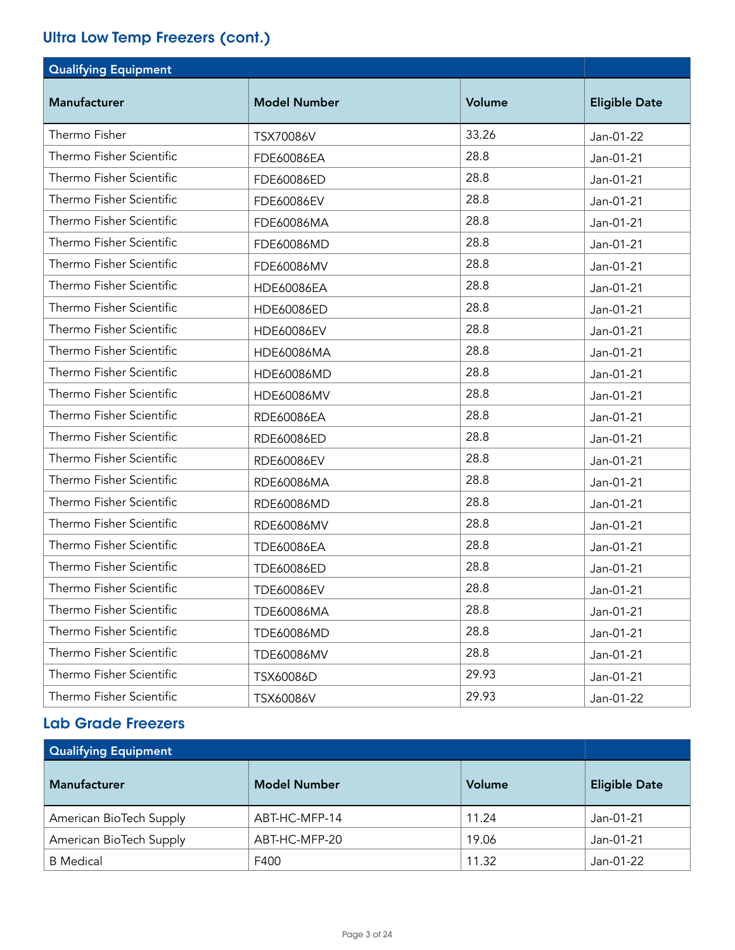### Ultra Low Temp Freezers (cont.)

| <b>Qualifying Equipment</b> |                     |        |                      |
|-----------------------------|---------------------|--------|----------------------|
| <b>Manufacturer</b>         | <b>Model Number</b> | Volume | <b>Eligible Date</b> |
| Thermo Fisher               | TSX70086V           | 33.26  | Jan-01-22            |
| Thermo Fisher Scientific    | FDE60086EA          | 28.8   | Jan-01-21            |
| Thermo Fisher Scientific    | FDE60086ED          | 28.8   | Jan-01-21            |
| Thermo Fisher Scientific    | FDE60086EV          | 28.8   | Jan-01-21            |
| Thermo Fisher Scientific    | FDE60086MA          | 28.8   | Jan-01-21            |
| Thermo Fisher Scientific    | FDE60086MD          | 28.8   | Jan-01-21            |
| Thermo Fisher Scientific    | FDE60086MV          | 28.8   | Jan-01-21            |
| Thermo Fisher Scientific    | <b>HDE60086EA</b>   | 28.8   | Jan-01-21            |
| Thermo Fisher Scientific    | HDE60086ED          | 28.8   | Jan-01-21            |
| Thermo Fisher Scientific    | <b>HDE60086EV</b>   | 28.8   | Jan-01-21            |
| Thermo Fisher Scientific    | HDE60086MA          | 28.8   | Jan-01-21            |
| Thermo Fisher Scientific    | HDE60086MD          | 28.8   | Jan-01-21            |
| Thermo Fisher Scientific    | HDE60086MV          | 28.8   | Jan-01-21            |
| Thermo Fisher Scientific    | RDE60086EA          | 28.8   | Jan-01-21            |
| Thermo Fisher Scientific    | RDE60086ED          | 28.8   | Jan-01-21            |
| Thermo Fisher Scientific    | RDE60086EV          | 28.8   | Jan-01-21            |
| Thermo Fisher Scientific    | RDE60086MA          | 28.8   | Jan-01-21            |
| Thermo Fisher Scientific    | RDE60086MD          | 28.8   | Jan-01-21            |
| Thermo Fisher Scientific    | RDE60086MV          | 28.8   | Jan-01-21            |
| Thermo Fisher Scientific    | <b>TDE60086EA</b>   | 28.8   | Jan-01-21            |
| Thermo Fisher Scientific    | TDE60086ED          | 28.8   | Jan-01-21            |
| Thermo Fisher Scientific    | <b>TDE60086EV</b>   | 28.8   | Jan-01-21            |
| Thermo Fisher Scientific    | <b>TDE60086MA</b>   | 28.8   | Jan-01-21            |
| Thermo Fisher Scientific    | TDE60086MD          | 28.8   | Jan-01-21            |
| Thermo Fisher Scientific    | <b>TDE60086MV</b>   | 28.8   | Jan-01-21            |
| Thermo Fisher Scientific    | TSX60086D           | 29.93  | Jan-01-21            |
| Thermo Fisher Scientific    | TSX60086V           | 29.93  | Jan-01-22            |

#### Lab Grade Freezers

| <b>Qualifying Equipment</b> |                     |        |                      |
|-----------------------------|---------------------|--------|----------------------|
| <b>Manufacturer</b>         | <b>Model Number</b> | Volume | <b>Eligible Date</b> |
| American BioTech Supply     | ABT-HC-MFP-14       | 11.24  | Jan-01-21            |
| American BioTech Supply     | ABT-HC-MFP-20       | 19.06  | Jan-01-21            |
| <b>B</b> Medical            | F400                | 11.32  | Jan-01-22            |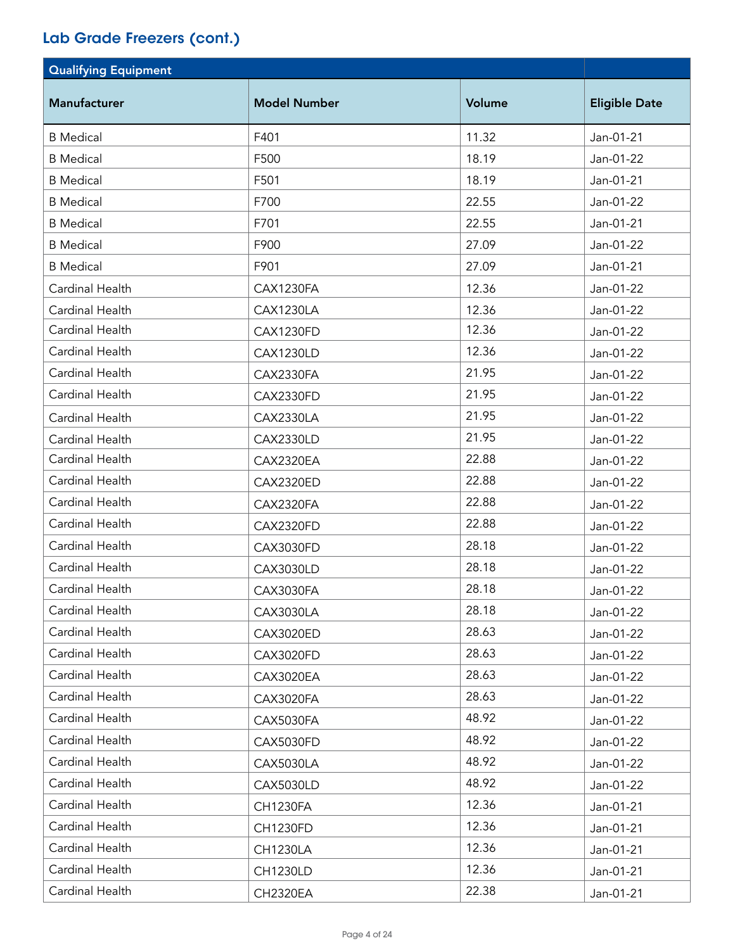| <b>Qualifying Equipment</b> |                     |        |                      |
|-----------------------------|---------------------|--------|----------------------|
| <b>Manufacturer</b>         | <b>Model Number</b> | Volume | <b>Eligible Date</b> |
| <b>B</b> Medical            | F401                | 11.32  | Jan-01-21            |
| <b>B</b> Medical            | F500                | 18.19  | Jan-01-22            |
| <b>B</b> Medical            | F501                | 18.19  | Jan-01-21            |
| <b>B</b> Medical            | F700                | 22.55  | Jan-01-22            |
| <b>B</b> Medical            | F701                | 22.55  | Jan-01-21            |
| <b>B</b> Medical            | F900                | 27.09  | Jan-01-22            |
| <b>B</b> Medical            | F901                | 27.09  | Jan-01-21            |
| Cardinal Health             | CAX1230FA           | 12.36  | Jan-01-22            |
| Cardinal Health             | CAX1230LA           | 12.36  | Jan-01-22            |
| Cardinal Health             | CAX1230FD           | 12.36  | Jan-01-22            |
| Cardinal Health             | <b>CAX1230LD</b>    | 12.36  | Jan-01-22            |
| Cardinal Health             | CAX2330FA           | 21.95  | Jan-01-22            |
| Cardinal Health             | <b>CAX2330FD</b>    | 21.95  | Jan-01-22            |
| Cardinal Health             | CAX2330LA           | 21.95  | Jan-01-22            |
| Cardinal Health             | <b>CAX2330LD</b>    | 21.95  | Jan-01-22            |
| Cardinal Health             | CAX2320EA           | 22.88  | Jan-01-22            |
| Cardinal Health             | <b>CAX2320ED</b>    | 22.88  | Jan-01-22            |
| Cardinal Health             | CAX2320FA           | 22.88  | Jan-01-22            |
| Cardinal Health             | CAX2320FD           | 22.88  | Jan-01-22            |
| Cardinal Health             | <b>CAX3030FD</b>    | 28.18  | Jan-01-22            |
| Cardinal Health             | <b>CAX3030LD</b>    | 28.18  | Jan-01-22            |
| Cardinal Health             | CAX3030FA           | 28.18  | Jan-01-22            |
| Cardinal Health             | <b>CAX3030LA</b>    | 28.18  | Jan-01-22            |
| Cardinal Health             | <b>CAX3020ED</b>    | 28.63  | Jan-01-22            |
| Cardinal Health             | <b>CAX3020FD</b>    | 28.63  | Jan-01-22            |
| Cardinal Health             | <b>CAX3020EA</b>    | 28.63  | Jan-01-22            |
| Cardinal Health             | CAX3020FA           | 28.63  | Jan-01-22            |
| Cardinal Health             | CAX5030FA           | 48.92  | Jan-01-22            |
| Cardinal Health             | <b>CAX5030FD</b>    | 48.92  | Jan-01-22            |
| Cardinal Health             | CAX5030LA           | 48.92  | Jan-01-22            |
| Cardinal Health             | <b>CAX5030LD</b>    | 48.92  | Jan-01-22            |
| Cardinal Health             | <b>CH1230FA</b>     | 12.36  | Jan-01-21            |
| Cardinal Health             | <b>CH1230FD</b>     | 12.36  | Jan-01-21            |
| Cardinal Health             | <b>CH1230LA</b>     | 12.36  | Jan-01-21            |
| Cardinal Health             | <b>CH1230LD</b>     | 12.36  | Jan-01-21            |
| Cardinal Health             | <b>CH2320EA</b>     | 22.38  | Jan-01-21            |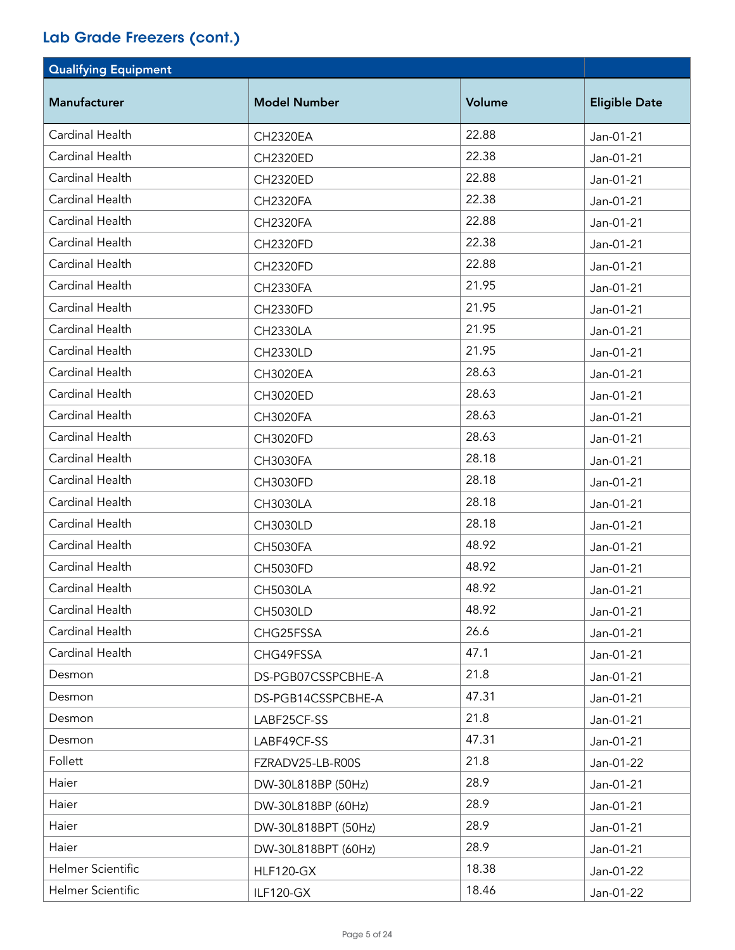| <b>Qualifying Equipment</b> |                     |        |                      |
|-----------------------------|---------------------|--------|----------------------|
| Manufacturer                | <b>Model Number</b> | Volume | <b>Eligible Date</b> |
| Cardinal Health             | <b>CH2320EA</b>     | 22.88  | Jan-01-21            |
| Cardinal Health             | <b>CH2320ED</b>     | 22.38  | Jan-01-21            |
| Cardinal Health             | <b>CH2320ED</b>     | 22.88  | Jan-01-21            |
| Cardinal Health             | <b>CH2320FA</b>     | 22.38  | Jan-01-21            |
| Cardinal Health             | <b>CH2320FA</b>     | 22.88  | Jan-01-21            |
| Cardinal Health             | <b>CH2320FD</b>     | 22.38  | Jan-01-21            |
| Cardinal Health             | <b>CH2320FD</b>     | 22.88  | Jan-01-21            |
| Cardinal Health             | <b>CH2330FA</b>     | 21.95  | Jan-01-21            |
| Cardinal Health             | <b>CH2330FD</b>     | 21.95  | Jan-01-21            |
| Cardinal Health             | <b>CH2330LA</b>     | 21.95  | Jan-01-21            |
| Cardinal Health             | <b>CH2330LD</b>     | 21.95  | Jan-01-21            |
| Cardinal Health             | <b>CH3020EA</b>     | 28.63  | Jan-01-21            |
| Cardinal Health             | <b>CH3020ED</b>     | 28.63  | Jan-01-21            |
| Cardinal Health             | <b>CH3020FA</b>     | 28.63  | Jan-01-21            |
| Cardinal Health             | <b>CH3020FD</b>     | 28.63  | Jan-01-21            |
| Cardinal Health             | <b>CH3030FA</b>     | 28.18  | Jan-01-21            |
| Cardinal Health             | <b>CH3030FD</b>     | 28.18  | Jan-01-21            |
| Cardinal Health             | <b>CH3030LA</b>     | 28.18  | Jan-01-21            |
| Cardinal Health             | <b>CH3030LD</b>     | 28.18  | Jan-01-21            |
| Cardinal Health             | <b>CH5030FA</b>     | 48.92  | Jan-01-21            |
| Cardinal Health             | <b>CH5030FD</b>     | 48.92  | Jan-01-21            |
| Cardinal Health             | <b>CH5030LA</b>     | 48.92  | Jan-01-21            |
| Cardinal Health             | <b>CH5030LD</b>     | 48.92  | Jan-01-21            |
| Cardinal Health             | CHG25FSSA           | 26.6   | Jan-01-21            |
| Cardinal Health             | CHG49FSSA           | 47.1   | Jan-01-21            |
| Desmon                      | DS-PGB07CSSPCBHE-A  | 21.8   | Jan-01-21            |
| Desmon                      | DS-PGB14CSSPCBHE-A  | 47.31  | Jan-01-21            |
| Desmon                      | LABF25CF-SS         | 21.8   | Jan-01-21            |
| Desmon                      | LABF49CF-SS         | 47.31  | Jan-01-21            |
| Follett                     | FZRADV25-LB-R00S    | 21.8   | Jan-01-22            |
| Haier                       | DW-30L818BP (50Hz)  | 28.9   | Jan-01-21            |
| Haier                       | DW-30L818BP (60Hz)  | 28.9   | Jan-01-21            |
| Haier                       | DW-30L818BPT (50Hz) | 28.9   | Jan-01-21            |
| Haier                       | DW-30L818BPT (60Hz) | 28.9   | Jan-01-21            |
| Helmer Scientific           | <b>HLF120-GX</b>    | 18.38  | Jan-01-22            |
| Helmer Scientific           | ILF120-GX           | 18.46  | Jan-01-22            |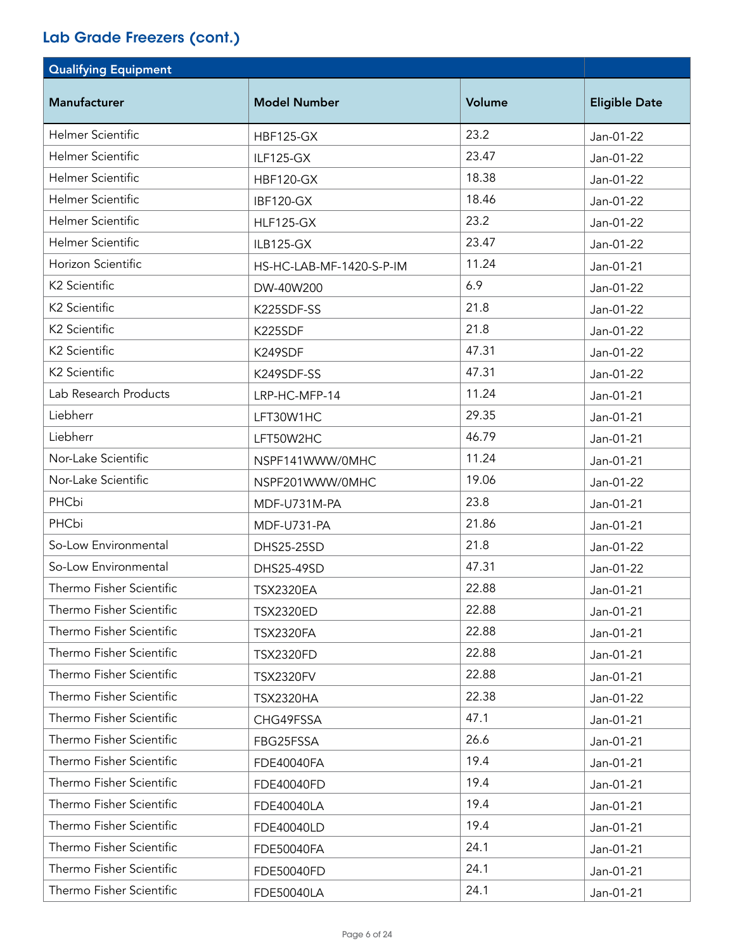| <b>Qualifying Equipment</b> |                          |        |                      |
|-----------------------------|--------------------------|--------|----------------------|
| Manufacturer                | <b>Model Number</b>      | Volume | <b>Eligible Date</b> |
| Helmer Scientific           | <b>HBF125-GX</b>         | 23.2   | Jan-01-22            |
| <b>Helmer Scientific</b>    | <b>ILF125-GX</b>         | 23.47  | Jan-01-22            |
| <b>Helmer Scientific</b>    | <b>HBF120-GX</b>         | 18.38  | Jan-01-22            |
| <b>Helmer Scientific</b>    | IBF120-GX                | 18.46  | Jan-01-22            |
| <b>Helmer Scientific</b>    | <b>HLF125-GX</b>         | 23.2   | Jan-01-22            |
| <b>Helmer Scientific</b>    | ILB125-GX                | 23.47  | Jan-01-22            |
| Horizon Scientific          | HS-HC-LAB-MF-1420-S-P-IM | 11.24  | Jan-01-21            |
| K2 Scientific               | DW-40W200                | 6.9    | Jan-01-22            |
| K2 Scientific               | K225SDF-SS               | 21.8   | Jan-01-22            |
| K2 Scientific               | K225SDF                  | 21.8   | Jan-01-22            |
| K2 Scientific               | K249SDF                  | 47.31  | Jan-01-22            |
| K2 Scientific               | K249SDF-SS               | 47.31  | Jan-01-22            |
| Lab Research Products       | LRP-HC-MFP-14            | 11.24  | Jan-01-21            |
| Liebherr                    | LFT30W1HC                | 29.35  | Jan-01-21            |
| Liebherr                    | LFT50W2HC                | 46.79  | Jan-01-21            |
| Nor-Lake Scientific         | NSPF141WWW/0MHC          | 11.24  | Jan-01-21            |
| Nor-Lake Scientific         | NSPF201WWW/0MHC          | 19.06  | Jan-01-22            |
| PHCbi                       | MDF-U731M-PA             | 23.8   | Jan-01-21            |
| PHCbi                       | MDF-U731-PA              | 21.86  | Jan-01-21            |
| So-Low Environmental        | DHS25-25SD               | 21.8   | Jan-01-22            |
| So-Low Environmental        | DHS25-49SD               | 47.31  | Jan-01-22            |
| Thermo Fisher Scientific    | <b>TSX2320EA</b>         | 22.88  | Jan-01-21            |
| Thermo Fisher Scientific    | <b>TSX2320ED</b>         | 22.88  | Jan-01-21            |
| Thermo Fisher Scientific    | <b>TSX2320FA</b>         | 22.88  | Jan-01-21            |
| Thermo Fisher Scientific    | <b>TSX2320FD</b>         | 22.88  | Jan-01-21            |
| Thermo Fisher Scientific    | <b>TSX2320FV</b>         | 22.88  | Jan-01-21            |
| Thermo Fisher Scientific    | <b>TSX2320HA</b>         | 22.38  | Jan-01-22            |
| Thermo Fisher Scientific    | CHG49FSSA                | 47.1   | Jan-01-21            |
| Thermo Fisher Scientific    | FBG25FSSA                | 26.6   | Jan-01-21            |
| Thermo Fisher Scientific    | <b>FDE40040FA</b>        | 19.4   | Jan-01-21            |
| Thermo Fisher Scientific    | FDE40040FD               | 19.4   | Jan-01-21            |
| Thermo Fisher Scientific    | <b>FDE40040LA</b>        | 19.4   | Jan-01-21            |
| Thermo Fisher Scientific    | FDE40040LD               | 19.4   | Jan-01-21            |
| Thermo Fisher Scientific    | <b>FDE50040FA</b>        | 24.1   | Jan-01-21            |
| Thermo Fisher Scientific    | FDE50040FD               | 24.1   | Jan-01-21            |
| Thermo Fisher Scientific    | <b>FDE50040LA</b>        | 24.1   | Jan-01-21            |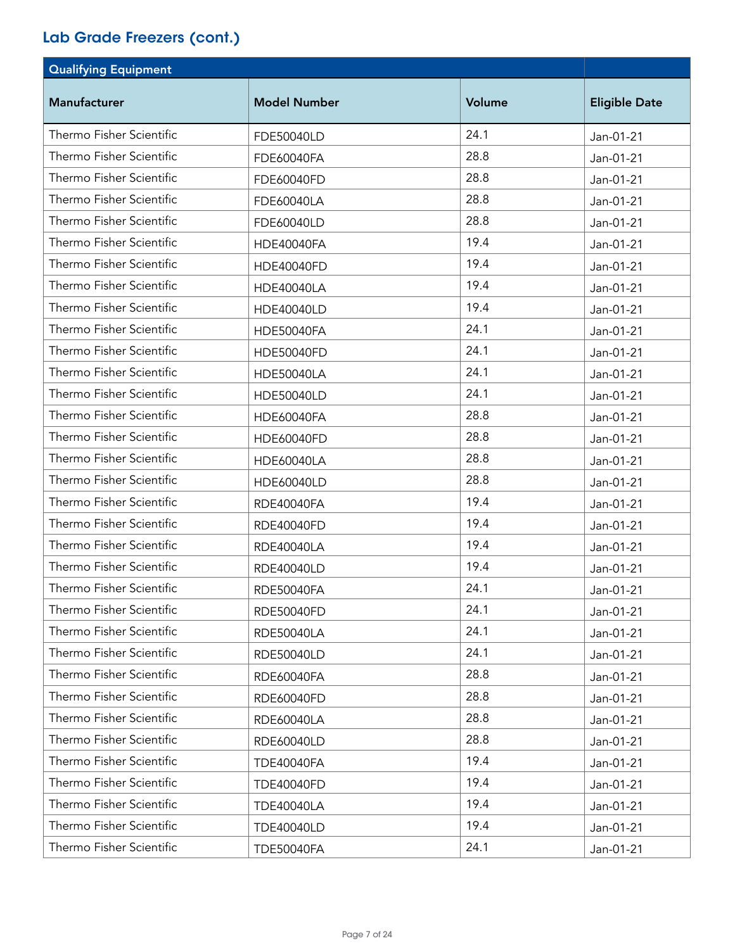| <b>Qualifying Equipment</b> |                     |        |                      |
|-----------------------------|---------------------|--------|----------------------|
| <b>Manufacturer</b>         | <b>Model Number</b> | Volume | <b>Eligible Date</b> |
| Thermo Fisher Scientific    | FDE50040LD          | 24.1   | Jan-01-21            |
| Thermo Fisher Scientific    | FDE60040FA          | 28.8   | Jan-01-21            |
| Thermo Fisher Scientific    | FDE60040FD          | 28.8   | Jan-01-21            |
| Thermo Fisher Scientific    | FDE60040LA          | 28.8   | Jan-01-21            |
| Thermo Fisher Scientific    | FDE60040LD          | 28.8   | Jan-01-21            |
| Thermo Fisher Scientific    | <b>HDE40040FA</b>   | 19.4   | Jan-01-21            |
| Thermo Fisher Scientific    | <b>HDE40040FD</b>   | 19.4   | Jan-01-21            |
| Thermo Fisher Scientific    | <b>HDE40040LA</b>   | 19.4   | Jan-01-21            |
| Thermo Fisher Scientific    | HDE40040LD          | 19.4   | Jan-01-21            |
| Thermo Fisher Scientific    | <b>HDE50040FA</b>   | 24.1   | Jan-01-21            |
| Thermo Fisher Scientific    | <b>HDE50040FD</b>   | 24.1   | Jan-01-21            |
| Thermo Fisher Scientific    | <b>HDE50040LA</b>   | 24.1   | Jan-01-21            |
| Thermo Fisher Scientific    | <b>HDE50040LD</b>   | 24.1   | Jan-01-21            |
| Thermo Fisher Scientific    | <b>HDE60040FA</b>   | 28.8   | Jan-01-21            |
| Thermo Fisher Scientific    | HDE60040FD          | 28.8   | Jan-01-21            |
| Thermo Fisher Scientific    | <b>HDE60040LA</b>   | 28.8   | Jan-01-21            |
| Thermo Fisher Scientific    | HDE60040LD          | 28.8   | Jan-01-21            |
| Thermo Fisher Scientific    | <b>RDE40040FA</b>   | 19.4   | Jan-01-21            |
| Thermo Fisher Scientific    | RDE40040FD          | 19.4   | Jan-01-21            |
| Thermo Fisher Scientific    | <b>RDE40040LA</b>   | 19.4   | Jan-01-21            |
| Thermo Fisher Scientific    | <b>RDE40040LD</b>   | 19.4   | Jan-01-21            |
| Thermo Fisher Scientific    | RDE50040FA          | 24.1   | Jan-01-21            |
| Thermo Fisher Scientific    | <b>RDE50040FD</b>   | 24.1   | Jan-01-21            |
| Thermo Fisher Scientific    | <b>RDE50040LA</b>   | 24.1   | Jan-01-21            |
| Thermo Fisher Scientific    | <b>RDE50040LD</b>   | 24.1   | Jan-01-21            |
| Thermo Fisher Scientific    | RDE60040FA          | 28.8   | Jan-01-21            |
| Thermo Fisher Scientific    | RDE60040FD          | 28.8   | Jan-01-21            |
| Thermo Fisher Scientific    | <b>RDE60040LA</b>   | 28.8   | Jan-01-21            |
| Thermo Fisher Scientific    | RDE60040LD          | 28.8   | Jan-01-21            |
| Thermo Fisher Scientific    | <b>TDE40040FA</b>   | 19.4   | Jan-01-21            |
| Thermo Fisher Scientific    | <b>TDE40040FD</b>   | 19.4   | Jan-01-21            |
| Thermo Fisher Scientific    | <b>TDE40040LA</b>   | 19.4   | Jan-01-21            |
| Thermo Fisher Scientific    | <b>TDE40040LD</b>   | 19.4   | Jan-01-21            |
| Thermo Fisher Scientific    | <b>TDE50040FA</b>   | 24.1   | Jan-01-21            |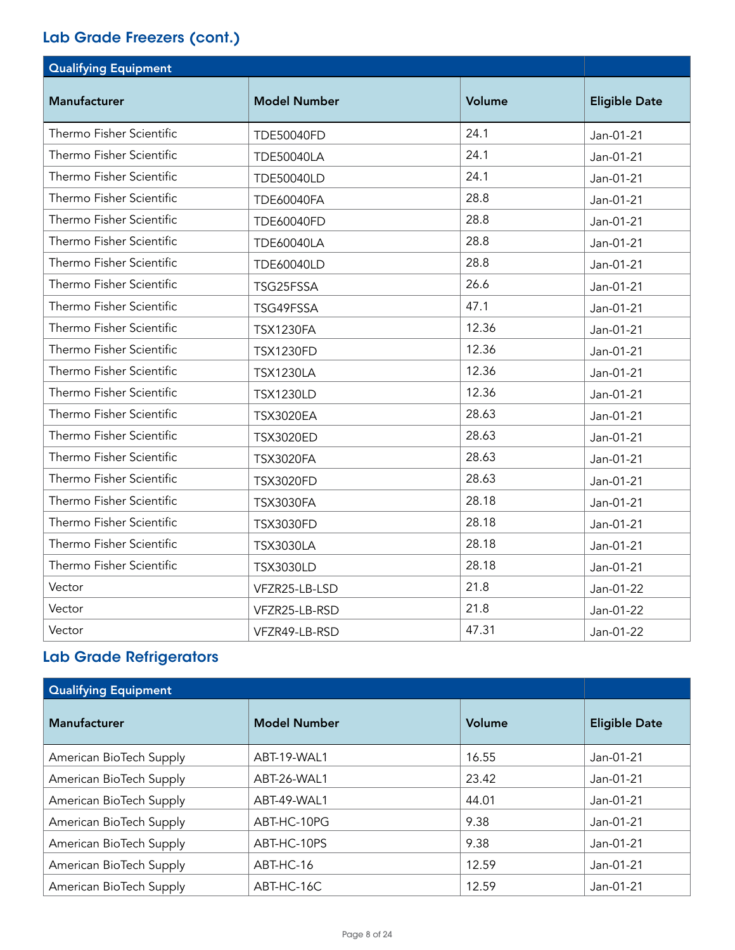| <b>Qualifying Equipment</b> |                     |        |                      |
|-----------------------------|---------------------|--------|----------------------|
| <b>Manufacturer</b>         | <b>Model Number</b> | Volume | <b>Eligible Date</b> |
| Thermo Fisher Scientific    | <b>TDE50040FD</b>   | 24.1   | Jan-01-21            |
| Thermo Fisher Scientific    | <b>TDE50040LA</b>   | 24.1   | Jan-01-21            |
| Thermo Fisher Scientific    | <b>TDE50040LD</b>   | 24.1   | Jan-01-21            |
| Thermo Fisher Scientific    | <b>TDE60040FA</b>   | 28.8   | Jan-01-21            |
| Thermo Fisher Scientific    | <b>TDE60040FD</b>   | 28.8   | Jan-01-21            |
| Thermo Fisher Scientific    | <b>TDE60040LA</b>   | 28.8   | Jan-01-21            |
| Thermo Fisher Scientific    | <b>TDE60040LD</b>   | 28.8   | Jan-01-21            |
| Thermo Fisher Scientific    | TSG25FSSA           | 26.6   | Jan-01-21            |
| Thermo Fisher Scientific    | TSG49FSSA           | 47.1   | Jan-01-21            |
| Thermo Fisher Scientific    | <b>TSX1230FA</b>    | 12.36  | Jan-01-21            |
| Thermo Fisher Scientific    | <b>TSX1230FD</b>    | 12.36  | Jan-01-21            |
| Thermo Fisher Scientific    | <b>TSX1230LA</b>    | 12.36  | Jan-01-21            |
| Thermo Fisher Scientific    | <b>TSX1230LD</b>    | 12.36  | Jan-01-21            |
| Thermo Fisher Scientific    | <b>TSX3020EA</b>    | 28.63  | Jan-01-21            |
| Thermo Fisher Scientific    | <b>TSX3020ED</b>    | 28.63  | Jan-01-21            |
| Thermo Fisher Scientific    | <b>TSX3020FA</b>    | 28.63  | Jan-01-21            |
| Thermo Fisher Scientific    | <b>TSX3020FD</b>    | 28.63  | Jan-01-21            |
| Thermo Fisher Scientific    | <b>TSX3030FA</b>    | 28.18  | Jan-01-21            |
| Thermo Fisher Scientific    | <b>TSX3030FD</b>    | 28.18  | Jan-01-21            |
| Thermo Fisher Scientific    | <b>TSX3030LA</b>    | 28.18  | Jan-01-21            |
| Thermo Fisher Scientific    | <b>TSX3030LD</b>    | 28.18  | Jan-01-21            |
| Vector                      | VFZR25-LB-LSD       | 21.8   | Jan-01-22            |
| Vector                      | VFZR25-LB-RSD       | 21.8   | Jan-01-22            |
| Vector                      | VFZR49-LB-RSD       | 47.31  | Jan-01-22            |

## Lab Grade Refrigerators

| <b>Qualifying Equipment</b> |                     |        |                      |
|-----------------------------|---------------------|--------|----------------------|
| <b>Manufacturer</b>         | <b>Model Number</b> | Volume | <b>Eligible Date</b> |
| American BioTech Supply     | ABT-19-WAL1         | 16.55  | Jan-01-21            |
| American BioTech Supply     | ABT-26-WAL1         | 23.42  | Jan-01-21            |
| American BioTech Supply     | ABT-49-WAL1         | 44.01  | Jan-01-21            |
| American BioTech Supply     | ABT-HC-10PG         | 9.38   | Jan-01-21            |
| American BioTech Supply     | ABT-HC-10PS         | 9.38   | Jan-01-21            |
| American BioTech Supply     | ABT-HC-16           | 12.59  | Jan-01-21            |
| American BioTech Supply     | ABT-HC-16C          | 12.59  | Jan-01-21            |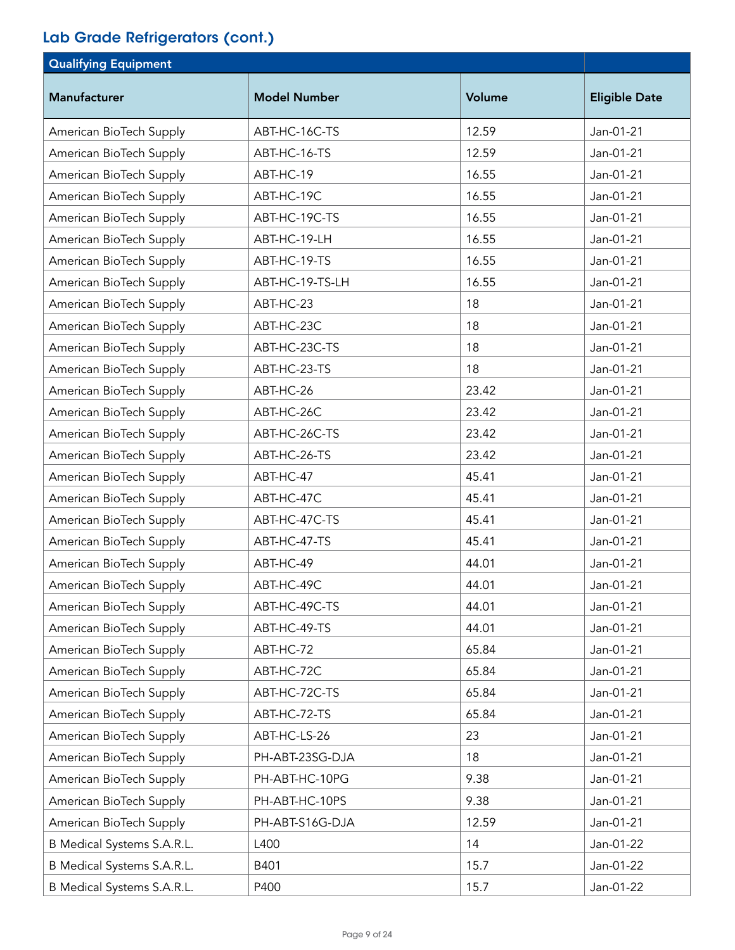| <b>Qualifying Equipment</b> |                     |        |                      |
|-----------------------------|---------------------|--------|----------------------|
| <b>Manufacturer</b>         | <b>Model Number</b> | Volume | <b>Eligible Date</b> |
| American BioTech Supply     | ABT-HC-16C-TS       | 12.59  | Jan-01-21            |
| American BioTech Supply     | ABT-HC-16-TS        | 12.59  | Jan-01-21            |
| American BioTech Supply     | ABT-HC-19           | 16.55  | Jan-01-21            |
| American BioTech Supply     | ABT-HC-19C          | 16.55  | Jan-01-21            |
| American BioTech Supply     | ABT-HC-19C-TS       | 16.55  | Jan-01-21            |
| American BioTech Supply     | ABT-HC-19-LH        | 16.55  | Jan-01-21            |
| American BioTech Supply     | ABT-HC-19-TS        | 16.55  | Jan-01-21            |
| American BioTech Supply     | ABT-HC-19-TS-LH     | 16.55  | Jan-01-21            |
| American BioTech Supply     | ABT-HC-23           | 18     | Jan-01-21            |
| American BioTech Supply     | ABT-HC-23C          | 18     | Jan-01-21            |
| American BioTech Supply     | ABT-HC-23C-TS       | 18     | Jan-01-21            |
| American BioTech Supply     | ABT-HC-23-TS        | 18     | Jan-01-21            |
| American BioTech Supply     | ABT-HC-26           | 23.42  | Jan-01-21            |
| American BioTech Supply     | ABT-HC-26C          | 23.42  | Jan-01-21            |
| American BioTech Supply     | ABT-HC-26C-TS       | 23.42  | Jan-01-21            |
| American BioTech Supply     | ABT-HC-26-TS        | 23.42  | Jan-01-21            |
| American BioTech Supply     | ABT-HC-47           | 45.41  | Jan-01-21            |
| American BioTech Supply     | ABT-HC-47C          | 45.41  | Jan-01-21            |
| American BioTech Supply     | ABT-HC-47C-TS       | 45.41  | Jan-01-21            |
| American BioTech Supply     | ABT-HC-47-TS        | 45.41  | Jan-01-21            |
| American BioTech Supply     | ABT-HC-49           | 44.01  | Jan-01-21            |
| American BioTech Supply     | ABT-HC-49C          | 44.01  | Jan-01-21            |
| American BioTech Supply     | ABT-HC-49C-TS       | 44.01  | Jan-01-21            |
| American BioTech Supply     | ABT-HC-49-TS        | 44.01  | Jan-01-21            |
| American BioTech Supply     | ABT-HC-72           | 65.84  | Jan-01-21            |
| American BioTech Supply     | ABT-HC-72C          | 65.84  | Jan-01-21            |
| American BioTech Supply     | ABT-HC-72C-TS       | 65.84  | Jan-01-21            |
| American BioTech Supply     | ABT-HC-72-TS        | 65.84  | Jan-01-21            |
| American BioTech Supply     | ABT-HC-LS-26        | 23     | Jan-01-21            |
| American BioTech Supply     | PH-ABT-23SG-DJA     | 18     | Jan-01-21            |
| American BioTech Supply     | PH-ABT-HC-10PG      | 9.38   | Jan-01-21            |
| American BioTech Supply     | PH-ABT-HC-10PS      | 9.38   | Jan-01-21            |
| American BioTech Supply     | PH-ABT-S16G-DJA     | 12.59  | Jan-01-21            |
| B Medical Systems S.A.R.L.  | L400                | 14     | Jan-01-22            |
| B Medical Systems S.A.R.L.  | B401                | 15.7   | Jan-01-22            |
| B Medical Systems S.A.R.L.  | P400                | 15.7   | Jan-01-22            |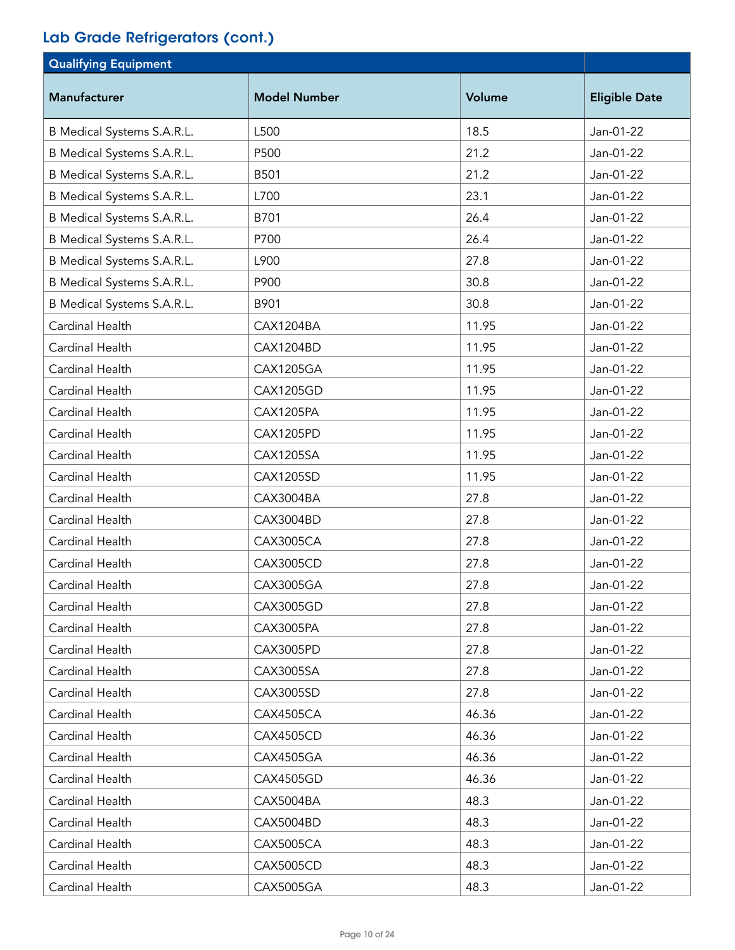| <b>Qualifying Equipment</b> |                     |        |                      |
|-----------------------------|---------------------|--------|----------------------|
| <b>Manufacturer</b>         | <b>Model Number</b> | Volume | <b>Eligible Date</b> |
| B Medical Systems S.A.R.L.  | L500                | 18.5   | Jan-01-22            |
| B Medical Systems S.A.R.L.  | P500                | 21.2   | Jan-01-22            |
| B Medical Systems S.A.R.L.  | B501                | 21.2   | Jan-01-22            |
| B Medical Systems S.A.R.L.  | L700                | 23.1   | Jan-01-22            |
| B Medical Systems S.A.R.L.  | B701                | 26.4   | Jan-01-22            |
| B Medical Systems S.A.R.L.  | P700                | 26.4   | Jan-01-22            |
| B Medical Systems S.A.R.L.  | L900                | 27.8   | Jan-01-22            |
| B Medical Systems S.A.R.L.  | P900                | 30.8   | Jan-01-22            |
| B Medical Systems S.A.R.L.  | B901                | 30.8   | Jan-01-22            |
| Cardinal Health             | CAX1204BA           | 11.95  | Jan-01-22            |
| Cardinal Health             | CAX1204BD           | 11.95  | Jan-01-22            |
| Cardinal Health             | <b>CAX1205GA</b>    | 11.95  | Jan-01-22            |
| Cardinal Health             | <b>CAX1205GD</b>    | 11.95  | Jan-01-22            |
| Cardinal Health             | <b>CAX1205PA</b>    | 11.95  | Jan-01-22            |
| Cardinal Health             | CAX1205PD           | 11.95  | Jan-01-22            |
| Cardinal Health             | <b>CAX1205SA</b>    | 11.95  | Jan-01-22            |
| Cardinal Health             | <b>CAX1205SD</b>    | 11.95  | Jan-01-22            |
| Cardinal Health             | CAX3004BA           | 27.8   | Jan-01-22            |
| Cardinal Health             | CAX3004BD           | 27.8   | Jan-01-22            |
| Cardinal Health             | <b>CAX3005CA</b>    | 27.8   | Jan-01-22            |
| Cardinal Health             | <b>CAX3005CD</b>    | 27.8   | Jan-01-22            |
| Cardinal Health             | CAX3005GA           | 27.8   | Jan-01-22            |
| Cardinal Health             | CAX3005GD           | 27.8   | Jan-01-22            |
| Cardinal Health             | CAX3005PA           | 27.8   | Jan-01-22            |
| Cardinal Health             | <b>CAX3005PD</b>    | 27.8   | Jan-01-22            |
| Cardinal Health             | CAX3005SA           | 27.8   | Jan-01-22            |
| Cardinal Health             | CAX3005SD           | 27.8   | Jan-01-22            |
| Cardinal Health             | CAX4505CA           | 46.36  | Jan-01-22            |
| Cardinal Health             | <b>CAX4505CD</b>    | 46.36  | Jan-01-22            |
| Cardinal Health             | CAX4505GA           | 46.36  | Jan-01-22            |
| Cardinal Health             | <b>CAX4505GD</b>    | 46.36  | Jan-01-22            |
| Cardinal Health             | CAX5004BA           | 48.3   | Jan-01-22            |
| Cardinal Health             | CAX5004BD           | 48.3   | Jan-01-22            |
| Cardinal Health             | <b>CAX5005CA</b>    | 48.3   | Jan-01-22            |
| Cardinal Health             | <b>CAX5005CD</b>    | 48.3   | Jan-01-22            |
| Cardinal Health             | CAX5005GA           | 48.3   | Jan-01-22            |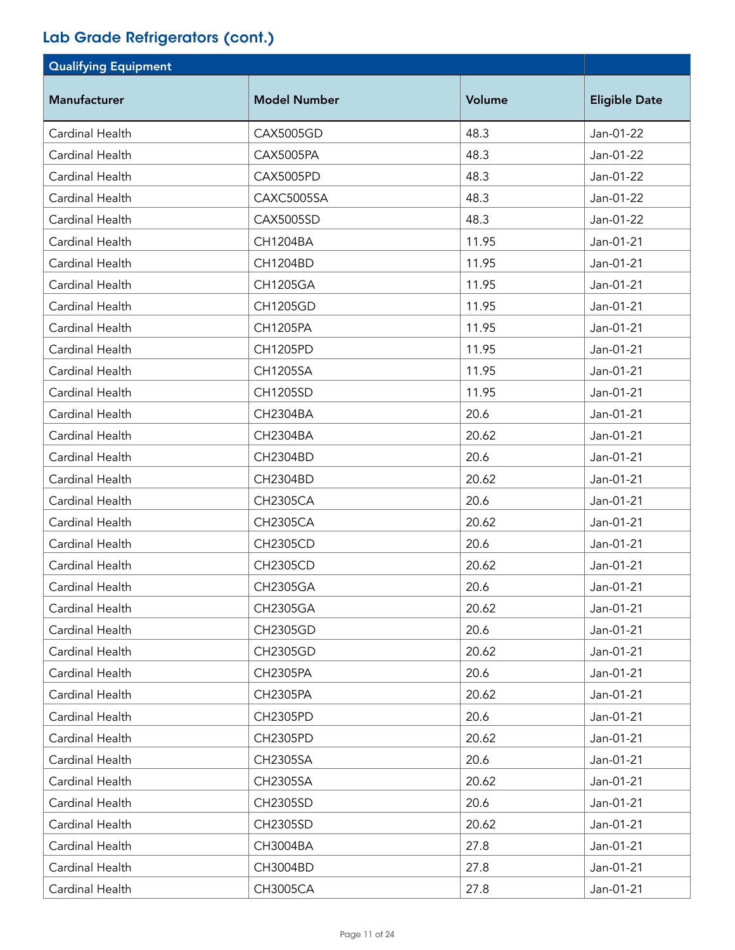| <b>Qualifying Equipment</b> |                     |        |                      |
|-----------------------------|---------------------|--------|----------------------|
| Manufacturer                | <b>Model Number</b> | Volume | <b>Eligible Date</b> |
| Cardinal Health             | <b>CAX5005GD</b>    | 48.3   | Jan-01-22            |
| Cardinal Health             | CAX5005PA           | 48.3   | Jan-01-22            |
| Cardinal Health             | <b>CAX5005PD</b>    | 48.3   | Jan-01-22            |
| Cardinal Health             | CAXC5005SA          | 48.3   | Jan-01-22            |
| Cardinal Health             | CAX5005SD           | 48.3   | Jan-01-22            |
| Cardinal Health             | CH1204BA            | 11.95  | Jan-01-21            |
| Cardinal Health             | CH1204BD            | 11.95  | Jan-01-21            |
| Cardinal Health             | <b>CH1205GA</b>     | 11.95  | Jan-01-21            |
| Cardinal Health             | CH1205GD            | 11.95  | Jan-01-21            |
| Cardinal Health             | CH1205PA            | 11.95  | Jan-01-21            |
| Cardinal Health             | CH1205PD            | 11.95  | Jan-01-21            |
| Cardinal Health             | <b>CH1205SA</b>     | 11.95  | Jan-01-21            |
| Cardinal Health             | CH1205SD            | 11.95  | Jan-01-21            |
| Cardinal Health             | CH2304BA            | 20.6   | Jan-01-21            |
| Cardinal Health             | CH2304BA            | 20.62  | Jan-01-21            |
| Cardinal Health             | CH2304BD            | 20.6   | Jan-01-21            |
| Cardinal Health             | CH2304BD            | 20.62  | Jan-01-21            |
| Cardinal Health             | <b>CH2305CA</b>     | 20.6   | Jan-01-21            |
| Cardinal Health             | <b>CH2305CA</b>     | 20.62  | Jan-01-21            |
| Cardinal Health             | <b>CH2305CD</b>     | 20.6   | Jan-01-21            |
| Cardinal Health             | <b>CH2305CD</b>     | 20.62  | Jan-01-21            |
| Cardinal Health             | <b>CH2305GA</b>     | 20.6   | Jan-01-21            |
| Cardinal Health             | <b>CH2305GA</b>     | 20.62  | Jan-01-21            |
| Cardinal Health             | <b>CH2305GD</b>     | 20.6   | Jan-01-21            |
| Cardinal Health             | <b>CH2305GD</b>     | 20.62  | Jan-01-21            |
| Cardinal Health             | <b>CH2305PA</b>     | 20.6   | Jan-01-21            |
| Cardinal Health             | <b>CH2305PA</b>     | 20.62  | Jan-01-21            |
| Cardinal Health             | <b>CH2305PD</b>     | 20.6   | Jan-01-21            |
| Cardinal Health             | CH2305PD            | 20.62  | Jan-01-21            |
| Cardinal Health             | CH2305SA            | 20.6   | Jan-01-21            |
| Cardinal Health             | CH2305SA            | 20.62  | Jan-01-21            |
| Cardinal Health             | CH2305SD            | 20.6   | Jan-01-21            |
| Cardinal Health             | CH2305SD            | 20.62  | Jan-01-21            |
| Cardinal Health             | CH3004BA            | 27.8   | Jan-01-21            |
| Cardinal Health             | CH3004BD            | 27.8   | Jan-01-21            |
| Cardinal Health             | <b>CH3005CA</b>     | 27.8   | Jan-01-21            |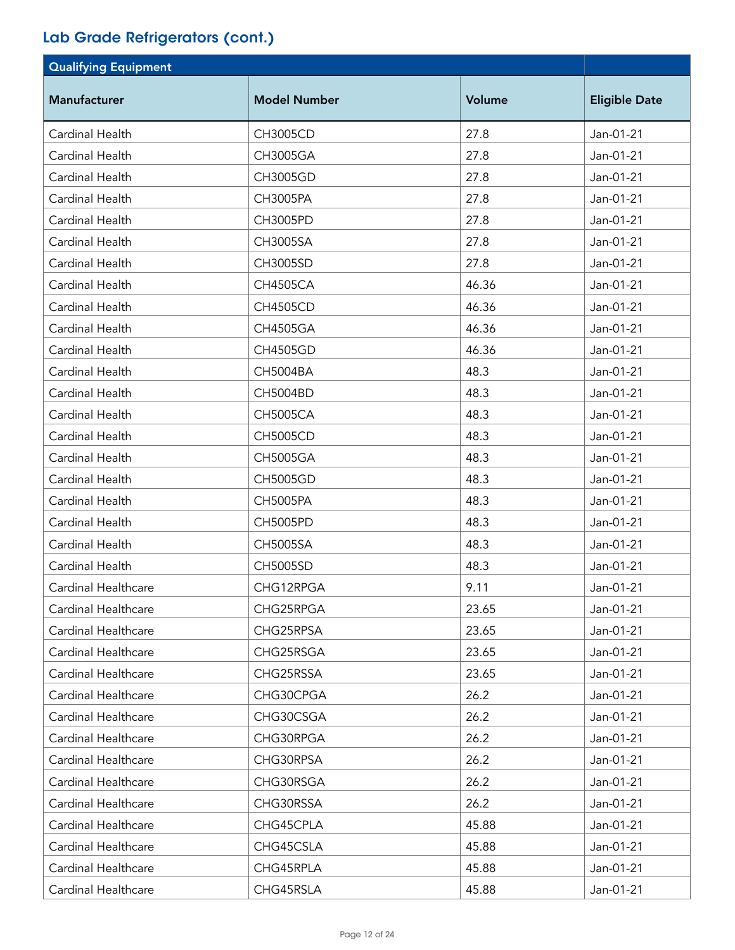| <b>Qualifying Equipment</b> |                     |        |                      |
|-----------------------------|---------------------|--------|----------------------|
| <b>Manufacturer</b>         | <b>Model Number</b> | Volume | <b>Eligible Date</b> |
| Cardinal Health             | <b>CH3005CD</b>     | 27.8   | Jan-01-21            |
| Cardinal Health             | CH3005GA            | 27.8   | Jan-01-21            |
| Cardinal Health             | CH3005GD            | 27.8   | Jan-01-21            |
| Cardinal Health             | CH3005PA            | 27.8   | Jan-01-21            |
| Cardinal Health             | <b>CH3005PD</b>     | 27.8   | Jan-01-21            |
| Cardinal Health             | <b>CH3005SA</b>     | 27.8   | Jan-01-21            |
| Cardinal Health             | CH3005SD            | 27.8   | Jan-01-21            |
| Cardinal Health             | <b>CH4505CA</b>     | 46.36  | Jan-01-21            |
| Cardinal Health             | <b>CH4505CD</b>     | 46.36  | Jan-01-21            |
| Cardinal Health             | CH4505GA            | 46.36  | Jan-01-21            |
| Cardinal Health             | CH4505GD            | 46.36  | Jan-01-21            |
| Cardinal Health             | CH5004BA            | 48.3   | Jan-01-21            |
| Cardinal Health             | <b>CH5004BD</b>     | 48.3   | Jan-01-21            |
| Cardinal Health             | <b>CH5005CA</b>     | 48.3   | Jan-01-21            |
| Cardinal Health             | <b>CH5005CD</b>     | 48.3   | Jan-01-21            |
| Cardinal Health             | <b>CH5005GA</b>     | 48.3   | Jan-01-21            |
| Cardinal Health             | <b>CH5005GD</b>     | 48.3   | Jan-01-21            |
| Cardinal Health             | <b>CH5005PA</b>     | 48.3   | Jan-01-21            |
| Cardinal Health             | <b>CH5005PD</b>     | 48.3   | Jan-01-21            |
| Cardinal Health             | <b>CH5005SA</b>     | 48.3   | Jan-01-21            |
| Cardinal Health             | <b>CH5005SD</b>     | 48.3   | Jan-01-21            |
| Cardinal Healthcare         | CHG12RPGA           | 9.11   | Jan-01-21            |
| Cardinal Healthcare         | CHG25RPGA           | 23.65  | Jan-01-21            |
| Cardinal Healthcare         | CHG25RPSA           | 23.65  | Jan-01-21            |
| Cardinal Healthcare         | CHG25RSGA           | 23.65  | Jan-01-21            |
| Cardinal Healthcare         | CHG25RSSA           | 23.65  | Jan-01-21            |
| Cardinal Healthcare         | CHG30CPGA           | 26.2   | Jan-01-21            |
| Cardinal Healthcare         | CHG30CSGA           | 26.2   | Jan-01-21            |
| Cardinal Healthcare         | CHG30RPGA           | 26.2   | Jan-01-21            |
| Cardinal Healthcare         | CHG30RPSA           | 26.2   | Jan-01-21            |
| Cardinal Healthcare         | CHG30RSGA           | 26.2   | Jan-01-21            |
| Cardinal Healthcare         | CHG30RSSA           | 26.2   | Jan-01-21            |
| Cardinal Healthcare         | CHG45CPLA           | 45.88  | Jan-01-21            |
| Cardinal Healthcare         | CHG45CSLA           | 45.88  | Jan-01-21            |
| Cardinal Healthcare         | CHG45RPLA           | 45.88  | Jan-01-21            |
| Cardinal Healthcare         | CHG45RSLA           | 45.88  | Jan-01-21            |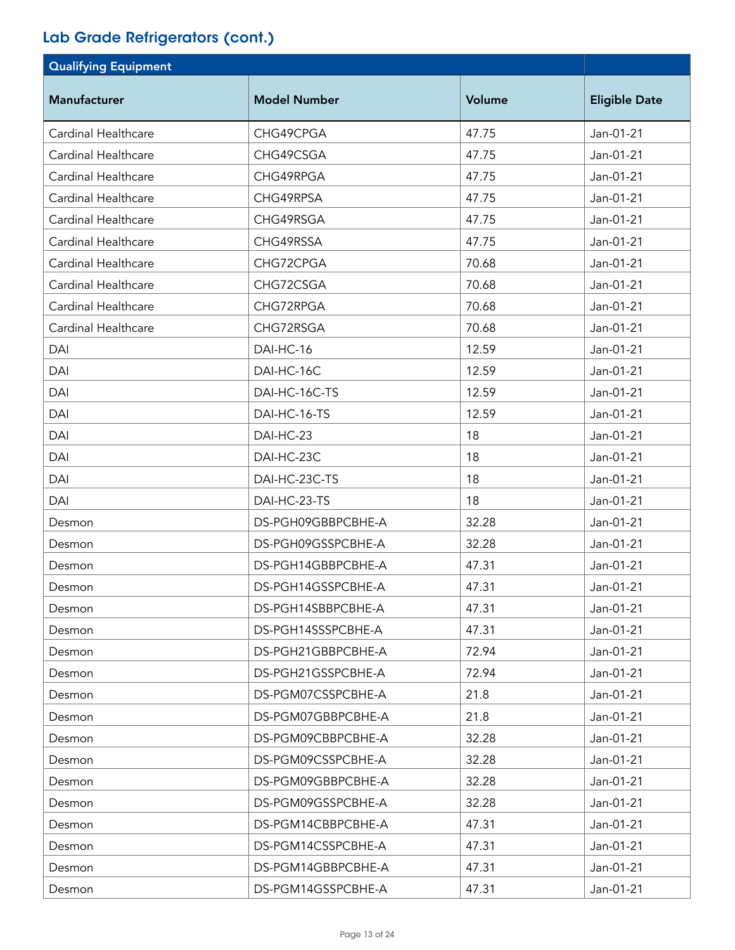| <b>Qualifying Equipment</b> |                     |        |                      |
|-----------------------------|---------------------|--------|----------------------|
| <b>Manufacturer</b>         | <b>Model Number</b> | Volume | <b>Eligible Date</b> |
| Cardinal Healthcare         | CHG49CPGA           | 47.75  | Jan-01-21            |
| Cardinal Healthcare         | CHG49CSGA           | 47.75  | Jan-01-21            |
| Cardinal Healthcare         | CHG49RPGA           | 47.75  | Jan-01-21            |
| Cardinal Healthcare         | CHG49RPSA           | 47.75  | Jan-01-21            |
| Cardinal Healthcare         | CHG49RSGA           | 47.75  | Jan-01-21            |
| Cardinal Healthcare         | CHG49RSSA           | 47.75  | Jan-01-21            |
| Cardinal Healthcare         | CHG72CPGA           | 70.68  | Jan-01-21            |
| Cardinal Healthcare         | CHG72CSGA           | 70.68  | Jan-01-21            |
| Cardinal Healthcare         | CHG72RPGA           | 70.68  | Jan-01-21            |
| Cardinal Healthcare         | CHG72RSGA           | 70.68  | Jan-01-21            |
| DAI                         | DAI-HC-16           | 12.59  | Jan-01-21            |
| DAI                         | DAI-HC-16C          | 12.59  | Jan-01-21            |
| DAI                         | DAI-HC-16C-TS       | 12.59  | Jan-01-21            |
| DAI                         | DAI-HC-16-TS        | 12.59  | Jan-01-21            |
| DAI                         | DAI-HC-23           | 18     | Jan-01-21            |
| DAI                         | DAI-HC-23C          | 18     | Jan-01-21            |
| DAI                         | DAI-HC-23C-TS       | 18     | Jan-01-21            |
| DAI                         | DAI-HC-23-TS        | 18     | Jan-01-21            |
| Desmon                      | DS-PGH09GBBPCBHE-A  | 32.28  | Jan-01-21            |
| Desmon                      | DS-PGH09GSSPCBHE-A  | 32.28  | Jan-01-21            |
| Desmon                      | DS-PGH14GBBPCBHE-A  | 47.31  | Jan-01-21            |
| Desmon                      | DS-PGH14GSSPCBHE-A  | 47.31  | Jan-01-21            |
| Desmon                      | DS-PGH14SBBPCBHE-A  | 47.31  | Jan-01-21            |
| Desmon                      | DS-PGH14SSSPCBHE-A  | 47.31  | Jan-01-21            |
| Desmon                      | DS-PGH21GBBPCBHE-A  | 72.94  | Jan-01-21            |
| Desmon                      | DS-PGH21GSSPCBHE-A  | 72.94  | Jan-01-21            |
| Desmon                      | DS-PGM07CSSPCBHE-A  | 21.8   | Jan-01-21            |
| Desmon                      | DS-PGM07GBBPCBHE-A  | 21.8   | Jan-01-21            |
| Desmon                      | DS-PGM09CBBPCBHE-A  | 32.28  | Jan-01-21            |
| Desmon                      | DS-PGM09CSSPCBHE-A  | 32.28  | Jan-01-21            |
| Desmon                      | DS-PGM09GBBPCBHE-A  | 32.28  | Jan-01-21            |
| Desmon                      | DS-PGM09GSSPCBHE-A  | 32.28  | Jan-01-21            |
| Desmon                      | DS-PGM14CBBPCBHE-A  | 47.31  | Jan-01-21            |
| Desmon                      | DS-PGM14CSSPCBHE-A  | 47.31  | Jan-01-21            |
| Desmon                      | DS-PGM14GBBPCBHE-A  | 47.31  | Jan-01-21            |
| Desmon                      | DS-PGM14GSSPCBHE-A  | 47.31  | Jan-01-21            |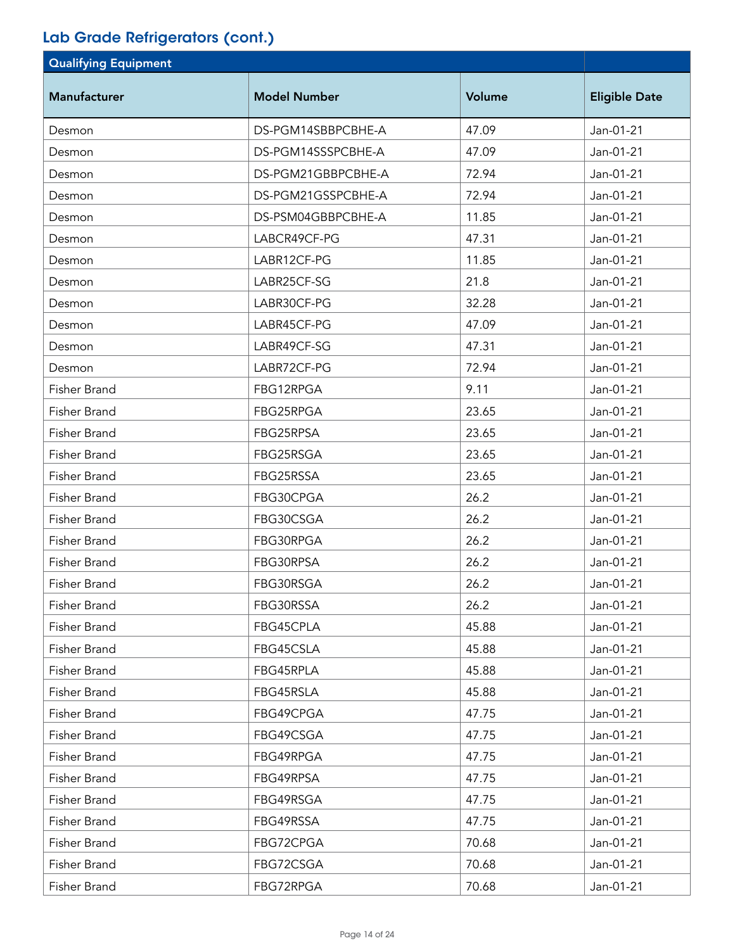| <b>Qualifying Equipment</b> |                     |        |                      |
|-----------------------------|---------------------|--------|----------------------|
| <b>Manufacturer</b>         | <b>Model Number</b> | Volume | <b>Eligible Date</b> |
| Desmon                      | DS-PGM14SBBPCBHE-A  | 47.09  | Jan-01-21            |
| Desmon                      | DS-PGM14SSSPCBHE-A  | 47.09  | Jan-01-21            |
| Desmon                      | DS-PGM21GBBPCBHE-A  | 72.94  | Jan-01-21            |
| Desmon                      | DS-PGM21GSSPCBHE-A  | 72.94  | Jan-01-21            |
| Desmon                      | DS-PSM04GBBPCBHE-A  | 11.85  | Jan-01-21            |
| Desmon                      | LABCR49CF-PG        | 47.31  | Jan-01-21            |
| Desmon                      | LABR12CF-PG         | 11.85  | Jan-01-21            |
| Desmon                      | LABR25CF-SG         | 21.8   | Jan-01-21            |
| Desmon                      | LABR30CF-PG         | 32.28  | Jan-01-21            |
| Desmon                      | LABR45CF-PG         | 47.09  | Jan-01-21            |
| Desmon                      | LABR49CF-SG         | 47.31  | Jan-01-21            |
| Desmon                      | LABR72CF-PG         | 72.94  | Jan-01-21            |
| Fisher Brand                | FBG12RPGA           | 9.11   | Jan-01-21            |
| Fisher Brand                | FBG25RPGA           | 23.65  | Jan-01-21            |
| Fisher Brand                | FBG25RPSA           | 23.65  | Jan-01-21            |
| Fisher Brand                | FBG25RSGA           | 23.65  | Jan-01-21            |
| Fisher Brand                | FBG25RSSA           | 23.65  | Jan-01-21            |
| Fisher Brand                | FBG30CPGA           | 26.2   | Jan-01-21            |
| Fisher Brand                | FBG30CSGA           | 26.2   | Jan-01-21            |
| Fisher Brand                | FBG30RPGA           | 26.2   | Jan-01-21            |
| Fisher Brand                | FBG30RPSA           | 26.2   | Jan-01-21            |
| Fisher Brand                | FBG30RSGA           | 26.2   | Jan-01-21            |
| Fisher Brand                | FBG30RSSA           | 26.2   | Jan-01-21            |
| Fisher Brand                | FBG45CPLA           | 45.88  | Jan-01-21            |
| Fisher Brand                | FBG45CSLA           | 45.88  | Jan-01-21            |
| Fisher Brand                | FBG45RPLA           | 45.88  | Jan-01-21            |
| Fisher Brand                | FBG45RSLA           | 45.88  | Jan-01-21            |
| Fisher Brand                | FBG49CPGA           | 47.75  | Jan-01-21            |
| Fisher Brand                | FBG49CSGA           | 47.75  | Jan-01-21            |
| Fisher Brand                | FBG49RPGA           | 47.75  | Jan-01-21            |
| Fisher Brand                | FBG49RPSA           | 47.75  | Jan-01-21            |
| Fisher Brand                | FBG49RSGA           | 47.75  | Jan-01-21            |
| Fisher Brand                | FBG49RSSA           | 47.75  | Jan-01-21            |
| Fisher Brand                | FBG72CPGA           | 70.68  | Jan-01-21            |
| Fisher Brand                | FBG72CSGA           | 70.68  | Jan-01-21            |
| Fisher Brand                | FBG72RPGA           | 70.68  | Jan-01-21            |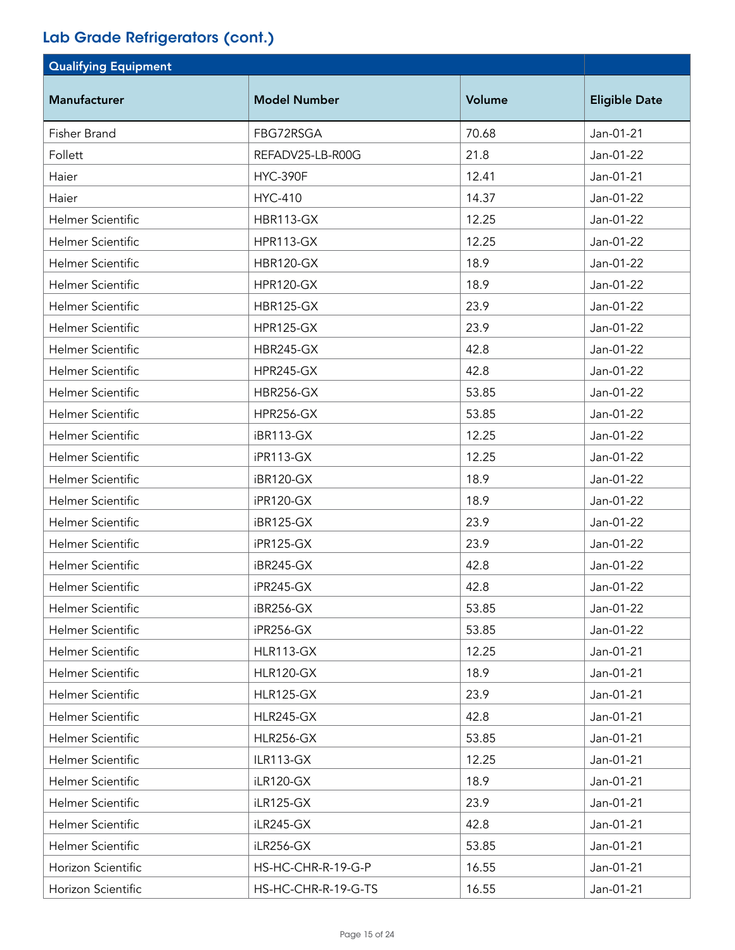| <b>Qualifying Equipment</b> |                     |        |                      |
|-----------------------------|---------------------|--------|----------------------|
| <b>Manufacturer</b>         | <b>Model Number</b> | Volume | <b>Eligible Date</b> |
| Fisher Brand                | FBG72RSGA           | 70.68  | Jan-01-21            |
| Follett                     | REFADV25-LB-R00G    | 21.8   | Jan-01-22            |
| Haier                       | <b>HYC-390F</b>     | 12.41  | Jan-01-21            |
| Haier                       | <b>HYC-410</b>      | 14.37  | Jan-01-22            |
| <b>Helmer Scientific</b>    | <b>HBR113-GX</b>    | 12.25  | Jan-01-22            |
| <b>Helmer Scientific</b>    | <b>HPR113-GX</b>    | 12.25  | Jan-01-22            |
| <b>Helmer Scientific</b>    | <b>HBR120-GX</b>    | 18.9   | Jan-01-22            |
| <b>Helmer Scientific</b>    | <b>HPR120-GX</b>    | 18.9   | Jan-01-22            |
| <b>Helmer Scientific</b>    | <b>HBR125-GX</b>    | 23.9   | Jan-01-22            |
| <b>Helmer Scientific</b>    | <b>HPR125-GX</b>    | 23.9   | Jan-01-22            |
| <b>Helmer Scientific</b>    | <b>HBR245-GX</b>    | 42.8   | Jan-01-22            |
| <b>Helmer Scientific</b>    | <b>HPR245-GX</b>    | 42.8   | Jan-01-22            |
| <b>Helmer Scientific</b>    | <b>HBR256-GX</b>    | 53.85  | Jan-01-22            |
| <b>Helmer Scientific</b>    | <b>HPR256-GX</b>    | 53.85  | Jan-01-22            |
| <b>Helmer Scientific</b>    | iBR113-GX           | 12.25  | Jan-01-22            |
| <b>Helmer Scientific</b>    | iPR113-GX           | 12.25  | Jan-01-22            |
| <b>Helmer Scientific</b>    | iBR120-GX           | 18.9   | Jan-01-22            |
| <b>Helmer Scientific</b>    | iPR120-GX           | 18.9   | Jan-01-22            |
| <b>Helmer Scientific</b>    | iBR125-GX           | 23.9   | Jan-01-22            |
| Helmer Scientific           | iPR125-GX           | 23.9   | Jan-01-22            |
| Helmer Scientific           | iBR245-GX           | 42.8   | Jan-01-22            |
| Helmer Scientific           | iPR245-GX           | 42.8   | Jan-01-22            |
| Helmer Scientific           | iBR256-GX           | 53.85  | Jan-01-22            |
| <b>Helmer Scientific</b>    | iPR256-GX           | 53.85  | Jan-01-22            |
| <b>Helmer Scientific</b>    | <b>HLR113-GX</b>    | 12.25  | Jan-01-21            |
| Helmer Scientific           | <b>HLR120-GX</b>    | 18.9   | Jan-01-21            |
| Helmer Scientific           | <b>HLR125-GX</b>    | 23.9   | Jan-01-21            |
| Helmer Scientific           | <b>HLR245-GX</b>    | 42.8   | Jan-01-21            |
| <b>Helmer Scientific</b>    | <b>HLR256-GX</b>    | 53.85  | Jan-01-21            |
| Helmer Scientific           | ILR113-GX           | 12.25  | Jan-01-21            |
| Helmer Scientific           | iLR120-GX           | 18.9   | Jan-01-21            |
| Helmer Scientific           | iLR125-GX           | 23.9   | Jan-01-21            |
| Helmer Scientific           | iLR245-GX           | 42.8   | Jan-01-21            |
| Helmer Scientific           | iLR256-GX           | 53.85  | Jan-01-21            |
| Horizon Scientific          | HS-HC-CHR-R-19-G-P  | 16.55  | Jan-01-21            |
| Horizon Scientific          | HS-HC-CHR-R-19-G-TS | 16.55  | Jan-01-21            |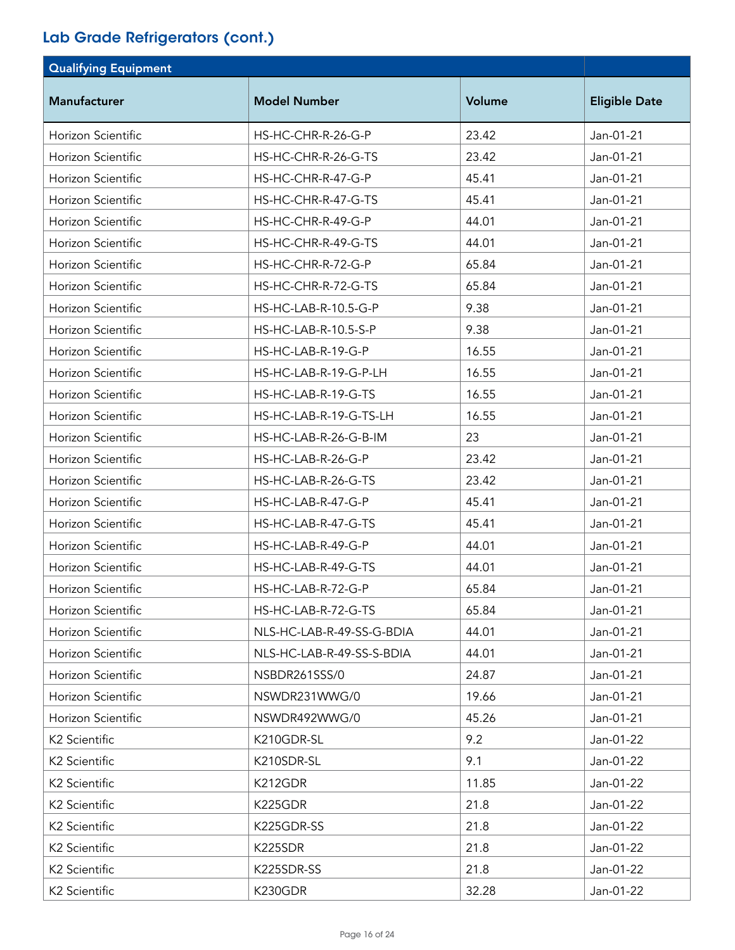| <b>Qualifying Equipment</b> |                           |        |                      |
|-----------------------------|---------------------------|--------|----------------------|
| <b>Manufacturer</b>         | <b>Model Number</b>       | Volume | <b>Eligible Date</b> |
| Horizon Scientific          | HS-HC-CHR-R-26-G-P        | 23.42  | Jan-01-21            |
| Horizon Scientific          | HS-HC-CHR-R-26-G-TS       | 23.42  | Jan-01-21            |
| Horizon Scientific          | HS-HC-CHR-R-47-G-P        | 45.41  | Jan-01-21            |
| Horizon Scientific          | HS-HC-CHR-R-47-G-TS       | 45.41  | Jan-01-21            |
| Horizon Scientific          | HS-HC-CHR-R-49-G-P        | 44.01  | Jan-01-21            |
| Horizon Scientific          | HS-HC-CHR-R-49-G-TS       | 44.01  | Jan-01-21            |
| Horizon Scientific          | HS-HC-CHR-R-72-G-P        | 65.84  | Jan-01-21            |
| Horizon Scientific          | HS-HC-CHR-R-72-G-TS       | 65.84  | Jan-01-21            |
| Horizon Scientific          | HS-HC-LAB-R-10.5-G-P      | 9.38   | Jan-01-21            |
| Horizon Scientific          | HS-HC-LAB-R-10.5-S-P      | 9.38   | Jan-01-21            |
| Horizon Scientific          | HS-HC-LAB-R-19-G-P        | 16.55  | Jan-01-21            |
| Horizon Scientific          | HS-HC-LAB-R-19-G-P-LH     | 16.55  | Jan-01-21            |
| Horizon Scientific          | HS-HC-LAB-R-19-G-TS       | 16.55  | Jan-01-21            |
| Horizon Scientific          | HS-HC-LAB-R-19-G-TS-LH    | 16.55  | Jan-01-21            |
| Horizon Scientific          | HS-HC-LAB-R-26-G-B-IM     | 23     | Jan-01-21            |
| Horizon Scientific          | HS-HC-LAB-R-26-G-P        | 23.42  | Jan-01-21            |
| Horizon Scientific          | HS-HC-LAB-R-26-G-TS       | 23.42  | Jan-01-21            |
| Horizon Scientific          | HS-HC-LAB-R-47-G-P        | 45.41  | Jan-01-21            |
| Horizon Scientific          | HS-HC-LAB-R-47-G-TS       | 45.41  | Jan-01-21            |
| Horizon Scientific          | HS-HC-LAB-R-49-G-P        | 44.01  | Jan-01-21            |
| Horizon Scientific          | HS-HC-LAB-R-49-G-TS       | 44.01  | Jan-01-21            |
| Horizon Scientific          | HS-HC-LAB-R-72-G-P        | 65.84  | Jan-01-21            |
| Horizon Scientific          | HS-HC-LAB-R-72-G-TS       | 65.84  | Jan-01-21            |
| Horizon Scientific          | NLS-HC-LAB-R-49-SS-G-BDIA | 44.01  | Jan-01-21            |
| Horizon Scientific          | NLS-HC-LAB-R-49-SS-S-BDIA | 44.01  | Jan-01-21            |
| Horizon Scientific          | NSBDR261SSS/0             | 24.87  | Jan-01-21            |
| Horizon Scientific          | NSWDR231WWG/0             | 19.66  | Jan-01-21            |
| Horizon Scientific          | NSWDR492WWG/0             | 45.26  | Jan-01-21            |
| K2 Scientific               | K210GDR-SL                | 9.2    | Jan-01-22            |
| K2 Scientific               | K210SDR-SL                | 9.1    | Jan-01-22            |
| K2 Scientific               | K212GDR                   | 11.85  | Jan-01-22            |
| K <sub>2</sub> Scientific   | K225GDR                   | 21.8   | Jan-01-22            |
| K2 Scientific               | K225GDR-SS                | 21.8   | Jan-01-22            |
| K <sub>2</sub> Scientific   | K225SDR                   | 21.8   | Jan-01-22            |
| K2 Scientific               | K225SDR-SS                | 21.8   | Jan-01-22            |
| K2 Scientific               | K230GDR                   | 32.28  | Jan-01-22            |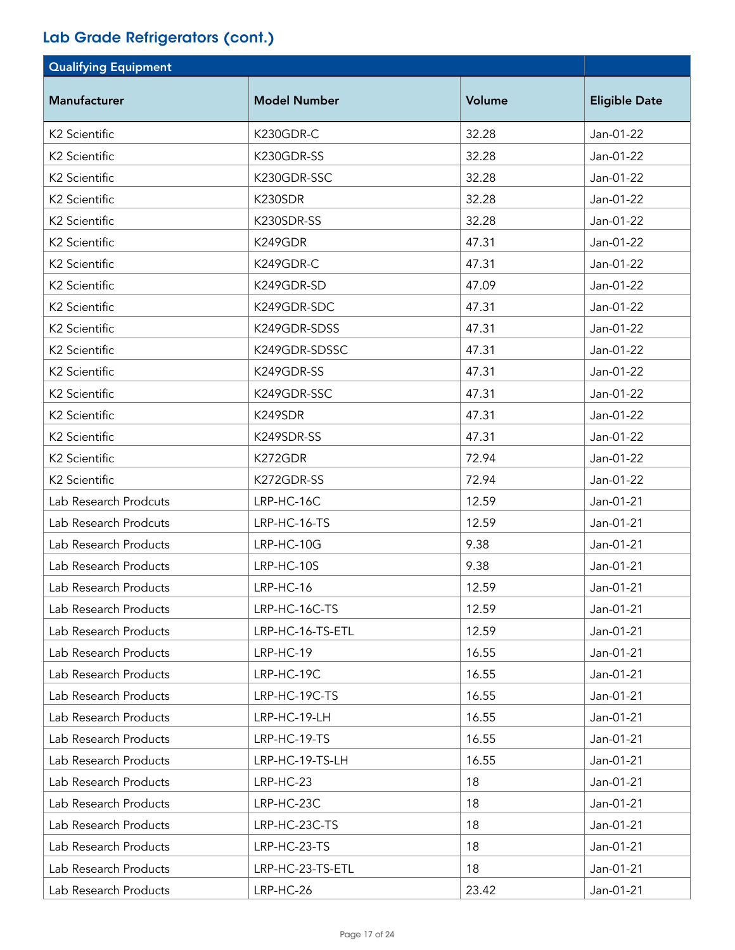| <b>Qualifying Equipment</b> |                     |        |                      |
|-----------------------------|---------------------|--------|----------------------|
| <b>Manufacturer</b>         | <b>Model Number</b> | Volume | <b>Eligible Date</b> |
| K2 Scientific               | K230GDR-C           | 32.28  | Jan-01-22            |
| K2 Scientific               | K230GDR-SS          | 32.28  | Jan-01-22            |
| K2 Scientific               | K230GDR-SSC         | 32.28  | Jan-01-22            |
| K2 Scientific               | K230SDR             | 32.28  | Jan-01-22            |
| K2 Scientific               | K230SDR-SS          | 32.28  | Jan-01-22            |
| K2 Scientific               | K249GDR             | 47.31  | Jan-01-22            |
| K2 Scientific               | K249GDR-C           | 47.31  | Jan-01-22            |
| K2 Scientific               | K249GDR-SD          | 47.09  | Jan-01-22            |
| K2 Scientific               | K249GDR-SDC         | 47.31  | Jan-01-22            |
| K2 Scientific               | K249GDR-SDSS        | 47.31  | Jan-01-22            |
| K2 Scientific               | K249GDR-SDSSC       | 47.31  | Jan-01-22            |
| K2 Scientific               | K249GDR-SS          | 47.31  | Jan-01-22            |
| K2 Scientific               | K249GDR-SSC         | 47.31  | Jan-01-22            |
| K2 Scientific               | K249SDR             | 47.31  | Jan-01-22            |
| K2 Scientific               | K249SDR-SS          | 47.31  | Jan-01-22            |
| K2 Scientific               | K272GDR             | 72.94  | Jan-01-22            |
| K2 Scientific               | K272GDR-SS          | 72.94  | Jan-01-22            |
| Lab Research Prodcuts       | LRP-HC-16C          | 12.59  | Jan-01-21            |
| Lab Research Prodcuts       | LRP-HC-16-TS        | 12.59  | Jan-01-21            |
| Lab Research Products       | LRP-HC-10G          | 9.38   | Jan-01-21            |
| Lab Research Products       | LRP-HC-10S          | 9.38   | Jan-01-21            |
| Lab Research Products       | LRP-HC-16           | 12.59  | Jan-01-21            |
| Lab Research Products       | LRP-HC-16C-TS       | 12.59  | Jan-01-21            |
| Lab Research Products       | LRP-HC-16-TS-ETL    | 12.59  | Jan-01-21            |
| Lab Research Products       | LRP-HC-19           | 16.55  | Jan-01-21            |
| Lab Research Products       | LRP-HC-19C          | 16.55  | Jan-01-21            |
| Lab Research Products       | LRP-HC-19C-TS       | 16.55  | Jan-01-21            |
| Lab Research Products       | LRP-HC-19-LH        | 16.55  | Jan-01-21            |
| Lab Research Products       | LRP-HC-19-TS        | 16.55  | Jan-01-21            |
| Lab Research Products       | LRP-HC-19-TS-LH     | 16.55  | Jan-01-21            |
| Lab Research Products       | LRP-HC-23           | 18     | Jan-01-21            |
| Lab Research Products       | LRP-HC-23C          | 18     | Jan-01-21            |
| Lab Research Products       | LRP-HC-23C-TS       | 18     | Jan-01-21            |
| Lab Research Products       | LRP-HC-23-TS        | 18     | Jan-01-21            |
| Lab Research Products       | LRP-HC-23-TS-ETL    | 18     | Jan-01-21            |
| Lab Research Products       | LRP-HC-26           | 23.42  | Jan-01-21            |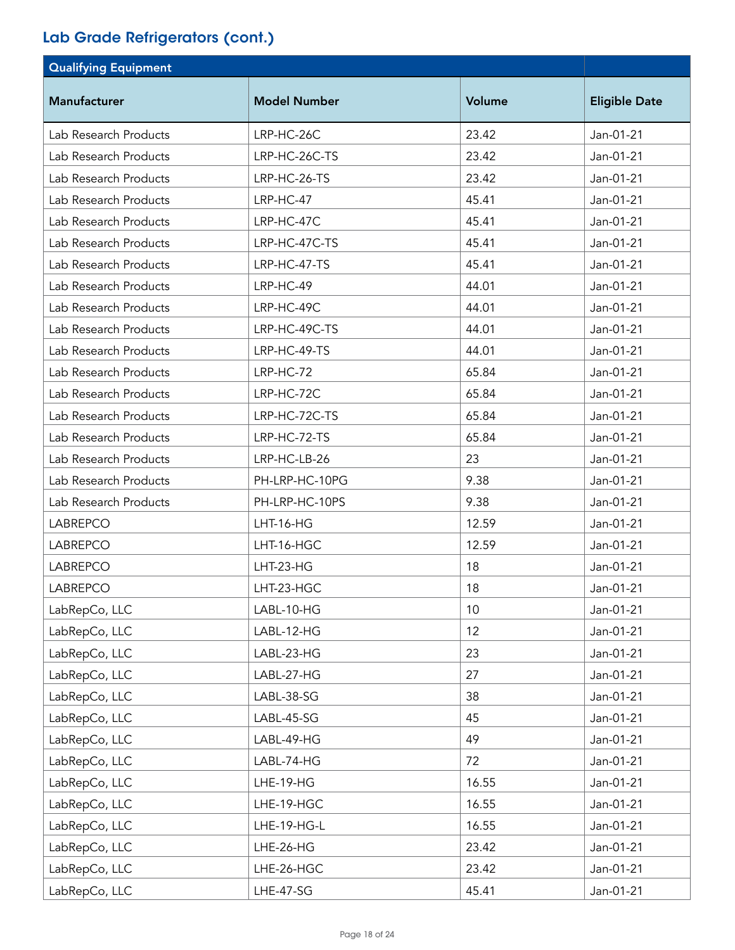| <b>Qualifying Equipment</b> |                     |        |                      |
|-----------------------------|---------------------|--------|----------------------|
| <b>Manufacturer</b>         | <b>Model Number</b> | Volume | <b>Eligible Date</b> |
| Lab Research Products       | LRP-HC-26C          | 23.42  | Jan-01-21            |
| Lab Research Products       | LRP-HC-26C-TS       | 23.42  | Jan-01-21            |
| Lab Research Products       | LRP-HC-26-TS        | 23.42  | Jan-01-21            |
| Lab Research Products       | LRP-HC-47           | 45.41  | Jan-01-21            |
| Lab Research Products       | LRP-HC-47C          | 45.41  | Jan-01-21            |
| Lab Research Products       | LRP-HC-47C-TS       | 45.41  | Jan-01-21            |
| Lab Research Products       | LRP-HC-47-TS        | 45.41  | Jan-01-21            |
| Lab Research Products       | LRP-HC-49           | 44.01  | Jan-01-21            |
| Lab Research Products       | LRP-HC-49C          | 44.01  | Jan-01-21            |
| Lab Research Products       | LRP-HC-49C-TS       | 44.01  | Jan-01-21            |
| Lab Research Products       | LRP-HC-49-TS        | 44.01  | Jan-01-21            |
| Lab Research Products       | LRP-HC-72           | 65.84  | Jan-01-21            |
| Lab Research Products       | LRP-HC-72C          | 65.84  | Jan-01-21            |
| Lab Research Products       | LRP-HC-72C-TS       | 65.84  | Jan-01-21            |
| Lab Research Products       | LRP-HC-72-TS        | 65.84  | Jan-01-21            |
| Lab Research Products       | LRP-HC-LB-26        | 23     | Jan-01-21            |
| Lab Research Products       | PH-LRP-HC-10PG      | 9.38   | Jan-01-21            |
| Lab Research Products       | PH-LRP-HC-10PS      | 9.38   | Jan-01-21            |
| <b>LABREPCO</b>             | <b>LHT-16-HG</b>    | 12.59  | Jan-01-21            |
| <b>LABREPCO</b>             | LHT-16-HGC          | 12.59  | Jan-01-21            |
| <b>LABREPCO</b>             | LHT-23-HG           | 18     | Jan-01-21            |
| <b>LABREPCO</b>             | LHT-23-HGC          | 18     | Jan-01-21            |
| LabRepCo, LLC               | LABL-10-HG          | 10     | Jan-01-21            |
| LabRepCo, LLC               | LABL-12-HG          | 12     | Jan-01-21            |
| LabRepCo, LLC               | LABL-23-HG          | 23     | Jan-01-21            |
| LabRepCo, LLC               | LABL-27-HG          | 27     | Jan-01-21            |
| LabRepCo, LLC               | LABL-38-SG          | 38     | Jan-01-21            |
| LabRepCo, LLC               | LABL-45-SG          | 45     | Jan-01-21            |
| LabRepCo, LLC               | LABL-49-HG          | 49     | Jan-01-21            |
| LabRepCo, LLC               | LABL-74-HG          | 72     | Jan-01-21            |
| LabRepCo, LLC               | LHE-19-HG           | 16.55  | Jan-01-21            |
| LabRepCo, LLC               | LHE-19-HGC          | 16.55  | Jan-01-21            |
| LabRepCo, LLC               | LHE-19-HG-L         | 16.55  | Jan-01-21            |
| LabRepCo, LLC               | LHE-26-HG           | 23.42  | Jan-01-21            |
| LabRepCo, LLC               | LHE-26-HGC          | 23.42  | Jan-01-21            |
| LabRepCo, LLC               | LHE-47-SG           | 45.41  | Jan-01-21            |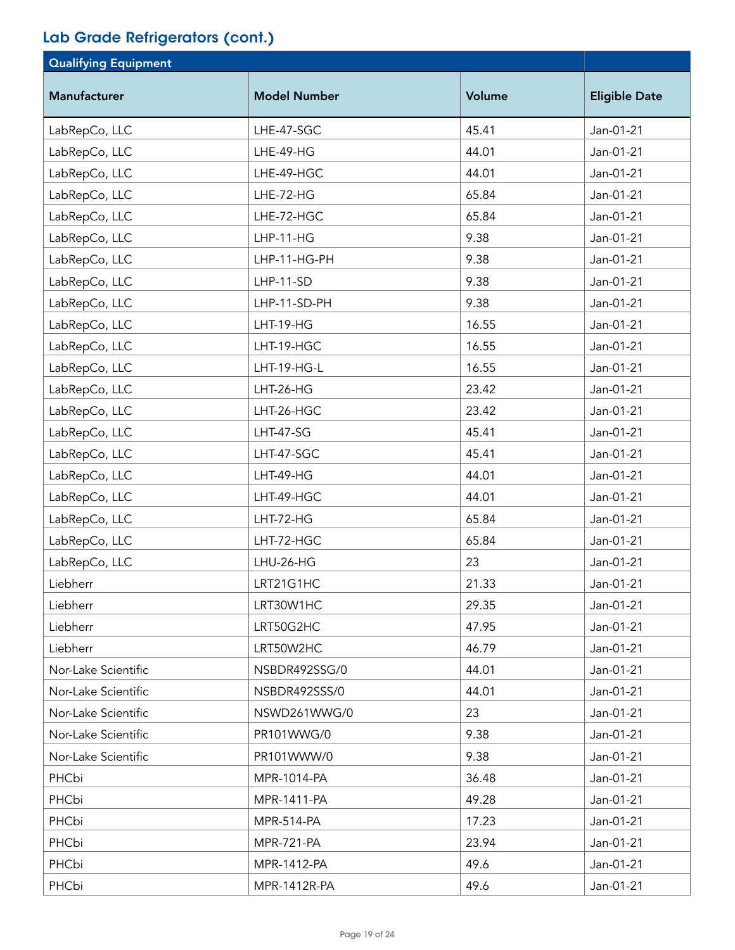| <b>Qualifying Equipment</b> |                     |        |                      |
|-----------------------------|---------------------|--------|----------------------|
| Manufacturer                | <b>Model Number</b> | Volume | <b>Eligible Date</b> |
| LabRepCo, LLC               | LHE-47-SGC          | 45.41  | Jan-01-21            |
| LabRepCo, LLC               | LHE-49-HG           | 44.01  | Jan-01-21            |
| LabRepCo, LLC               | LHE-49-HGC          | 44.01  | Jan-01-21            |
| LabRepCo, LLC               | LHE-72-HG           | 65.84  | Jan-01-21            |
| LabRepCo, LLC               | LHE-72-HGC          | 65.84  | Jan-01-21            |
| LabRepCo, LLC               | $LHP-11-HG$         | 9.38   | Jan-01-21            |
| LabRepCo, LLC               | LHP-11-HG-PH        | 9.38   | Jan-01-21            |
| LabRepCo, LLC               | LHP-11-SD           | 9.38   | Jan-01-21            |
| LabRepCo, LLC               | LHP-11-SD-PH        | 9.38   | Jan-01-21            |
| LabRepCo, LLC               | <b>LHT-19-HG</b>    | 16.55  | Jan-01-21            |
| LabRepCo, LLC               | LHT-19-HGC          | 16.55  | Jan-01-21            |
| LabRepCo, LLC               | LHT-19-HG-L         | 16.55  | Jan-01-21            |
| LabRepCo, LLC               | <b>LHT-26-HG</b>    | 23.42  | Jan-01-21            |
| LabRepCo, LLC               | LHT-26-HGC          | 23.42  | Jan-01-21            |
| LabRepCo, LLC               | <b>LHT-47-SG</b>    | 45.41  | Jan-01-21            |
| LabRepCo, LLC               | LHT-47-SGC          | 45.41  | Jan-01-21            |
| LabRepCo, LLC               | LHT-49-HG           | 44.01  | Jan-01-21            |
| LabRepCo, LLC               | LHT-49-HGC          | 44.01  | Jan-01-21            |
| LabRepCo, LLC               | LHT-72-HG           | 65.84  | Jan-01-21            |
| LabRepCo, LLC               | LHT-72-HGC          | 65.84  | Jan-01-21            |
| LabRepCo, LLC               | LHU-26-HG           | 23     | Jan-01-21            |
| Liebherr                    | LRT21G1HC           | 21.33  | Jan-01-21            |
| Liebherr                    | LRT30W1HC           | 29.35  | Jan-01-21            |
| Liebherr                    | LRT50G2HC           | 47.95  | Jan-01-21            |
| Liebherr                    | LRT50W2HC           | 46.79  | Jan-01-21            |
| Nor-Lake Scientific         | NSBDR492SSG/0       | 44.01  | Jan-01-21            |
| Nor-Lake Scientific         | NSBDR492SSS/0       | 44.01  | Jan-01-21            |
| Nor-Lake Scientific         | NSWD261WWG/0        | 23     | Jan-01-21            |
| Nor-Lake Scientific         | PR101WWG/0          | 9.38   | Jan-01-21            |
| Nor-Lake Scientific         | PR101WWW/0          | 9.38   | Jan-01-21            |
| PHCbi                       | MPR-1014-PA         | 36.48  | Jan-01-21            |
| PHCbi                       | MPR-1411-PA         | 49.28  | Jan-01-21            |
| PHCbi                       | <b>MPR-514-PA</b>   | 17.23  | Jan-01-21            |
| PHCbi                       | <b>MPR-721-PA</b>   | 23.94  | Jan-01-21            |
| PHCbi                       | MPR-1412-PA         | 49.6   | Jan-01-21            |
| PHCbi                       | MPR-1412R-PA        | 49.6   | Jan-01-21            |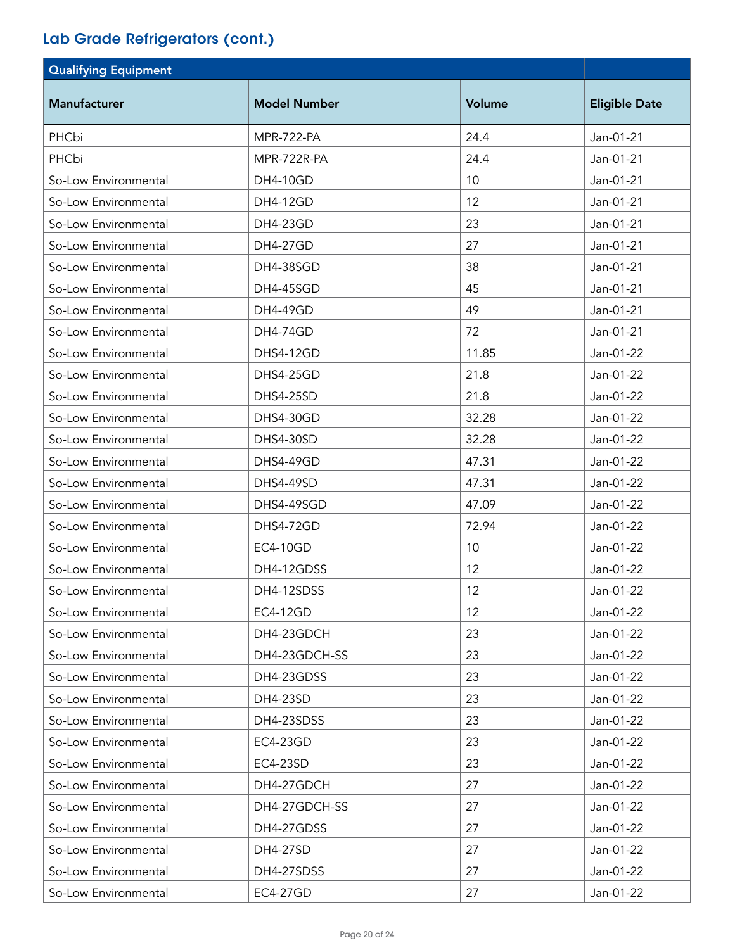| <b>Qualifying Equipment</b> |                     |        |                      |
|-----------------------------|---------------------|--------|----------------------|
| <b>Manufacturer</b>         | <b>Model Number</b> | Volume | <b>Eligible Date</b> |
| PHCbi                       | <b>MPR-722-PA</b>   | 24.4   | Jan-01-21            |
| PHCbi                       | MPR-722R-PA         | 24.4   | Jan-01-21            |
| So-Low Environmental        | <b>DH4-10GD</b>     | 10     | Jan-01-21            |
| So-Low Environmental        | <b>DH4-12GD</b>     | 12     | Jan-01-21            |
| So-Low Environmental        | <b>DH4-23GD</b>     | 23     | Jan-01-21            |
| So-Low Environmental        | <b>DH4-27GD</b>     | 27     | Jan-01-21            |
| So-Low Environmental        | DH4-38SGD           | 38     | Jan-01-21            |
| So-Low Environmental        | <b>DH4-45SGD</b>    | 45     | Jan-01-21            |
| So-Low Environmental        | <b>DH4-49GD</b>     | 49     | Jan-01-21            |
| So-Low Environmental        | <b>DH4-74GD</b>     | 72     | Jan-01-21            |
| So-Low Environmental        | DHS4-12GD           | 11.85  | Jan-01-22            |
| So-Low Environmental        | DHS4-25GD           | 21.8   | Jan-01-22            |
| So-Low Environmental        | <b>DHS4-25SD</b>    | 21.8   | Jan-01-22            |
| So-Low Environmental        | DHS4-30GD           | 32.28  | Jan-01-22            |
| So-Low Environmental        | DHS4-30SD           | 32.28  | Jan-01-22            |
| So-Low Environmental        | DHS4-49GD           | 47.31  | Jan-01-22            |
| So-Low Environmental        | <b>DHS4-49SD</b>    | 47.31  | Jan-01-22            |
| So-Low Environmental        | DHS4-49SGD          | 47.09  | Jan-01-22            |
| So-Low Environmental        | DHS4-72GD           | 72.94  | Jan-01-22            |
| So-Low Environmental        | <b>EC4-10GD</b>     | 10     | Jan-01-22            |
| So-Low Environmental        | DH4-12GDSS          | 12     | Jan-01-22            |
| So-Low Environmental        | DH4-12SDSS          | 12     | Jan-01-22            |
| So-Low Environmental        | <b>EC4-12GD</b>     | 12     | Jan-01-22            |
| So-Low Environmental        | DH4-23GDCH          | 23     | Jan-01-22            |
| So-Low Environmental        | DH4-23GDCH-SS       | 23     | Jan-01-22            |
| So-Low Environmental        | DH4-23GDSS          | 23     | Jan-01-22            |
| So-Low Environmental        | DH4-23SD            | 23     | Jan-01-22            |
| So-Low Environmental        | DH4-23SDSS          | 23     | Jan-01-22            |
| So-Low Environmental        | EC4-23GD            | 23     | Jan-01-22            |
| So-Low Environmental        | EC4-23SD            | 23     | Jan-01-22            |
| So-Low Environmental        | DH4-27GDCH          | 27     | Jan-01-22            |
| So-Low Environmental        | DH4-27GDCH-SS       | 27     | Jan-01-22            |
| So-Low Environmental        | DH4-27GDSS          | 27     | Jan-01-22            |
| So-Low Environmental        | DH4-27SD            | 27     | Jan-01-22            |
| So-Low Environmental        | DH4-27SDSS          | 27     | Jan-01-22            |
| So-Low Environmental        | <b>EC4-27GD</b>     | 27     | Jan-01-22            |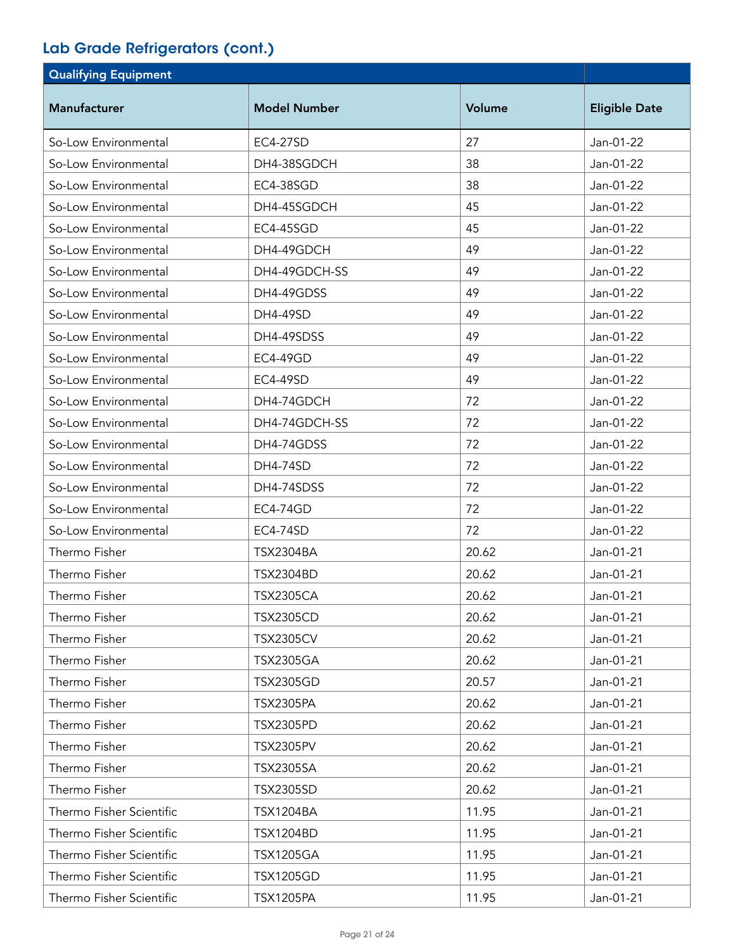| <b>Qualifying Equipment</b> |                     |        |                      |
|-----------------------------|---------------------|--------|----------------------|
| <b>Manufacturer</b>         | <b>Model Number</b> | Volume | <b>Eligible Date</b> |
| So-Low Environmental        | <b>EC4-27SD</b>     | 27     | Jan-01-22            |
| So-Low Environmental        | DH4-38SGDCH         | 38     | Jan-01-22            |
| So-Low Environmental        | EC4-38SGD           | 38     | Jan-01-22            |
| So-Low Environmental        | DH4-45SGDCH         | 45     | Jan-01-22            |
| So-Low Environmental        | EC4-45SGD           | 45     | Jan-01-22            |
| So-Low Environmental        | DH4-49GDCH          | 49     | Jan-01-22            |
| So-Low Environmental        | DH4-49GDCH-SS       | 49     | Jan-01-22            |
| So-Low Environmental        | DH4-49GDSS          | 49     | Jan-01-22            |
| So-Low Environmental        | DH4-49SD            | 49     | Jan-01-22            |
| So-Low Environmental        | DH4-49SDSS          | 49     | Jan-01-22            |
| So-Low Environmental        | <b>EC4-49GD</b>     | 49     | Jan-01-22            |
| So-Low Environmental        | EC4-49SD            | 49     | Jan-01-22            |
| So-Low Environmental        | DH4-74GDCH          | 72     | Jan-01-22            |
| So-Low Environmental        | DH4-74GDCH-SS       | 72     | Jan-01-22            |
| So-Low Environmental        | DH4-74GDSS          | 72     | Jan-01-22            |
| So-Low Environmental        | <b>DH4-74SD</b>     | 72     | Jan-01-22            |
| So-Low Environmental        | DH4-74SDSS          | 72     | Jan-01-22            |
| So-Low Environmental        | <b>EC4-74GD</b>     | 72     | Jan-01-22            |
| So-Low Environmental        | <b>EC4-74SD</b>     | 72     | Jan-01-22            |
| Thermo Fisher               | <b>TSX2304BA</b>    | 20.62  | Jan-01-21            |
| Thermo Fisher               | <b>TSX2304BD</b>    | 20.62  | Jan-01-21            |
| Thermo Fisher               | <b>TSX2305CA</b>    | 20.62  | Jan-01-21            |
| Thermo Fisher               | <b>TSX2305CD</b>    | 20.62  | Jan-01-21            |
| Thermo Fisher               | <b>TSX2305CV</b>    | 20.62  | Jan-01-21            |
| Thermo Fisher               | <b>TSX2305GA</b>    | 20.62  | Jan-01-21            |
| Thermo Fisher               | <b>TSX2305GD</b>    | 20.57  | Jan-01-21            |
| Thermo Fisher               | <b>TSX2305PA</b>    | 20.62  | Jan-01-21            |
| Thermo Fisher               | <b>TSX2305PD</b>    | 20.62  | Jan-01-21            |
| Thermo Fisher               | <b>TSX2305PV</b>    | 20.62  | Jan-01-21            |
| Thermo Fisher               | <b>TSX2305SA</b>    | 20.62  | Jan-01-21            |
| Thermo Fisher               | <b>TSX2305SD</b>    | 20.62  | Jan-01-21            |
| Thermo Fisher Scientific    | <b>TSX1204BA</b>    | 11.95  | Jan-01-21            |
| Thermo Fisher Scientific    | <b>TSX1204BD</b>    | 11.95  | Jan-01-21            |
| Thermo Fisher Scientific    | <b>TSX1205GA</b>    | 11.95  | Jan-01-21            |
| Thermo Fisher Scientific    | <b>TSX1205GD</b>    | 11.95  | Jan-01-21            |
| Thermo Fisher Scientific    | <b>TSX1205PA</b>    | 11.95  | Jan-01-21            |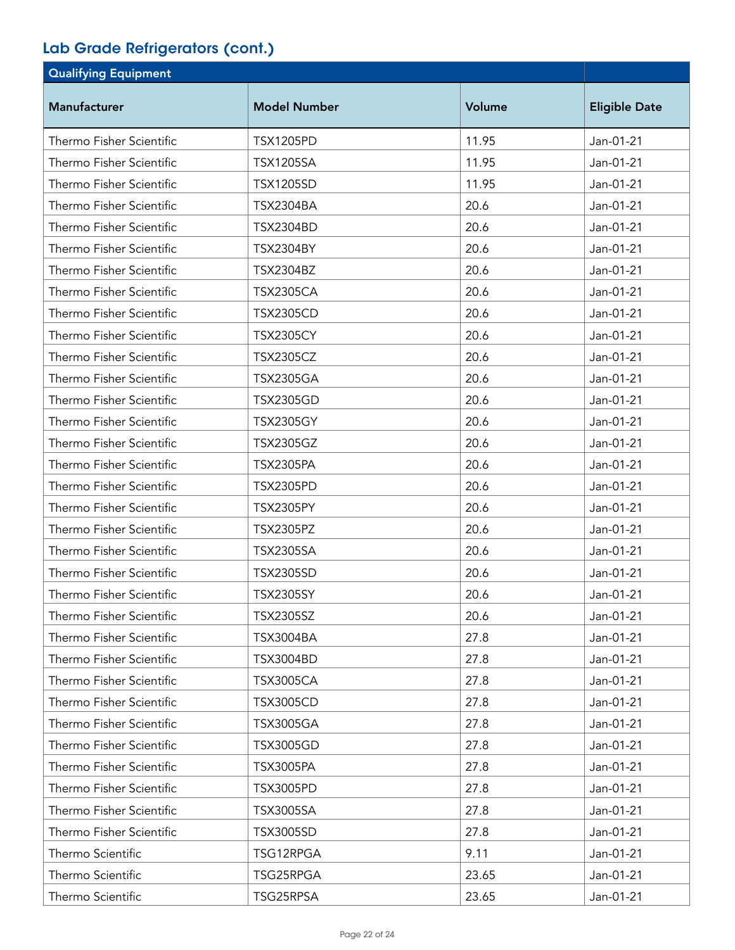| <b>Qualifying Equipment</b> |                     |        |                      |
|-----------------------------|---------------------|--------|----------------------|
| Manufacturer                | <b>Model Number</b> | Volume | <b>Eligible Date</b> |
| Thermo Fisher Scientific    | <b>TSX1205PD</b>    | 11.95  | Jan-01-21            |
| Thermo Fisher Scientific    | <b>TSX1205SA</b>    | 11.95  | Jan-01-21            |
| Thermo Fisher Scientific    | <b>TSX1205SD</b>    | 11.95  | Jan-01-21            |
| Thermo Fisher Scientific    | <b>TSX2304BA</b>    | 20.6   | Jan-01-21            |
| Thermo Fisher Scientific    | <b>TSX2304BD</b>    | 20.6   | Jan-01-21            |
| Thermo Fisher Scientific    | <b>TSX2304BY</b>    | 20.6   | Jan-01-21            |
| Thermo Fisher Scientific    | <b>TSX2304BZ</b>    | 20.6   | Jan-01-21            |
| Thermo Fisher Scientific    | <b>TSX2305CA</b>    | 20.6   | Jan-01-21            |
| Thermo Fisher Scientific    | <b>TSX2305CD</b>    | 20.6   | Jan-01-21            |
| Thermo Fisher Scientific    | <b>TSX2305CY</b>    | 20.6   | Jan-01-21            |
| Thermo Fisher Scientific    | <b>TSX2305CZ</b>    | 20.6   | Jan-01-21            |
| Thermo Fisher Scientific    | <b>TSX2305GA</b>    | 20.6   | Jan-01-21            |
| Thermo Fisher Scientific    | <b>TSX2305GD</b>    | 20.6   | Jan-01-21            |
| Thermo Fisher Scientific    | <b>TSX2305GY</b>    | 20.6   | Jan-01-21            |
| Thermo Fisher Scientific    | <b>TSX2305GZ</b>    | 20.6   | Jan-01-21            |
| Thermo Fisher Scientific    | <b>TSX2305PA</b>    | 20.6   | Jan-01-21            |
| Thermo Fisher Scientific    | <b>TSX2305PD</b>    | 20.6   | Jan-01-21            |
| Thermo Fisher Scientific    | <b>TSX2305PY</b>    | 20.6   | Jan-01-21            |
| Thermo Fisher Scientific    | <b>TSX2305PZ</b>    | 20.6   | Jan-01-21            |
| Thermo Fisher Scientific    | <b>TSX2305SA</b>    | 20.6   | Jan-01-21            |
| Thermo Fisher Scientific    | <b>TSX2305SD</b>    | 20.6   | Jan-01-21            |
| Thermo Fisher Scientific    | <b>TSX2305SY</b>    | 20.6   | Jan-01-21            |
| Thermo Fisher Scientific    | <b>TSX2305SZ</b>    | 20.6   | Jan-01-21            |
| Thermo Fisher Scientific    | <b>TSX3004BA</b>    | 27.8   | Jan-01-21            |
| Thermo Fisher Scientific    | <b>TSX3004BD</b>    | 27.8   | Jan-01-21            |
| Thermo Fisher Scientific    | <b>TSX3005CA</b>    | 27.8   | Jan-01-21            |
| Thermo Fisher Scientific    | <b>TSX3005CD</b>    | 27.8   | Jan-01-21            |
| Thermo Fisher Scientific    | <b>TSX3005GA</b>    | 27.8   | Jan-01-21            |
| Thermo Fisher Scientific    | <b>TSX3005GD</b>    | 27.8   | Jan-01-21            |
| Thermo Fisher Scientific    | <b>TSX3005PA</b>    | 27.8   | Jan-01-21            |
| Thermo Fisher Scientific    | <b>TSX3005PD</b>    | 27.8   | Jan-01-21            |
| Thermo Fisher Scientific    | <b>TSX3005SA</b>    | 27.8   | Jan-01-21            |
| Thermo Fisher Scientific    | <b>TSX3005SD</b>    | 27.8   | Jan-01-21            |
| Thermo Scientific           | TSG12RPGA           | 9.11   | Jan-01-21            |
| Thermo Scientific           | TSG25RPGA           | 23.65  | Jan-01-21            |
| Thermo Scientific           | TSG25RPSA           | 23.65  | Jan-01-21            |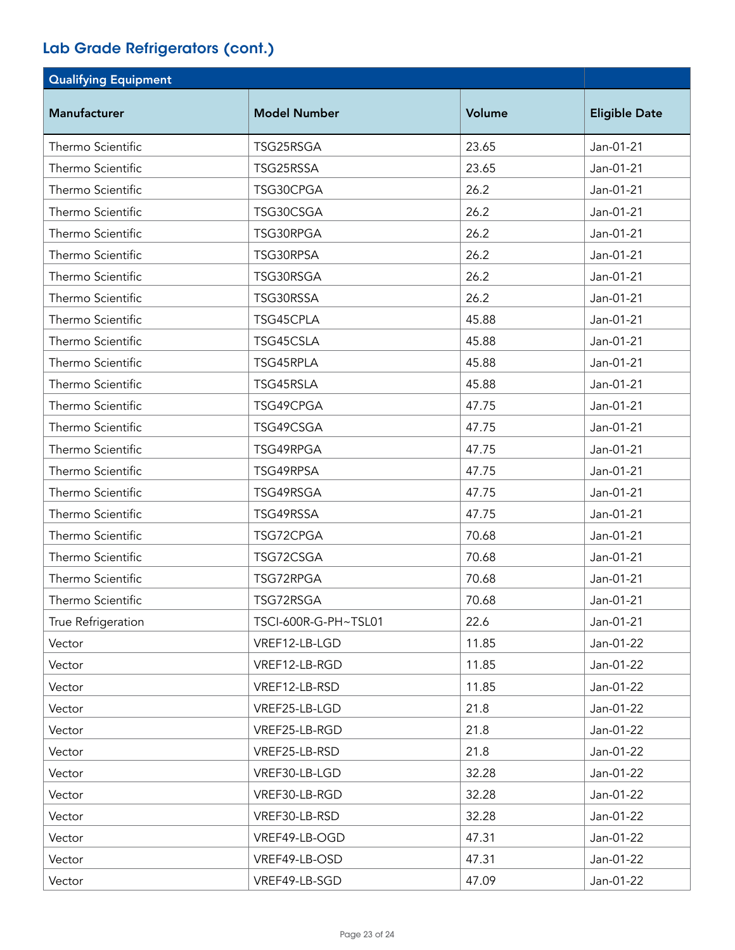| <b>Qualifying Equipment</b> |                      |        |                      |
|-----------------------------|----------------------|--------|----------------------|
| <b>Manufacturer</b>         | <b>Model Number</b>  | Volume | <b>Eligible Date</b> |
| Thermo Scientific           | TSG25RSGA            | 23.65  | Jan-01-21            |
| Thermo Scientific           | TSG25RSSA            | 23.65  | Jan-01-21            |
| Thermo Scientific           | TSG30CPGA            | 26.2   | Jan-01-21            |
| Thermo Scientific           | TSG30CSGA            | 26.2   | Jan-01-21            |
| Thermo Scientific           | TSG30RPGA            | 26.2   | Jan-01-21            |
| Thermo Scientific           | TSG30RPSA            | 26.2   | Jan-01-21            |
| Thermo Scientific           | TSG30RSGA            | 26.2   | Jan-01-21            |
| Thermo Scientific           | TSG30RSSA            | 26.2   | Jan-01-21            |
| Thermo Scientific           | TSG45CPLA            | 45.88  | Jan-01-21            |
| Thermo Scientific           | TSG45CSLA            | 45.88  | Jan-01-21            |
| Thermo Scientific           | TSG45RPLA            | 45.88  | Jan-01-21            |
| Thermo Scientific           | TSG45RSLA            | 45.88  | Jan-01-21            |
| Thermo Scientific           | TSG49CPGA            | 47.75  | Jan-01-21            |
| Thermo Scientific           | TSG49CSGA            | 47.75  | Jan-01-21            |
| Thermo Scientific           | TSG49RPGA            | 47.75  | Jan-01-21            |
| Thermo Scientific           | TSG49RPSA            | 47.75  | Jan-01-21            |
| Thermo Scientific           | TSG49RSGA            | 47.75  | Jan-01-21            |
| Thermo Scientific           | TSG49RSSA            | 47.75  | Jan-01-21            |
| Thermo Scientific           | TSG72CPGA            | 70.68  | Jan-01-21            |
| Thermo Scientific           | TSG72CSGA            | 70.68  | Jan-01-21            |
| Thermo Scientific           | TSG72RPGA            | 70.68  | Jan-01-21            |
| Thermo Scientific           | TSG72RSGA            | 70.68  | Jan-01-21            |
| True Refrigeration          | TSCI-600R-G-PH~TSL01 | 22.6   | Jan-01-21            |
| Vector                      | VREF12-LB-LGD        | 11.85  | Jan-01-22            |
| Vector                      | VREF12-LB-RGD        | 11.85  | Jan-01-22            |
| Vector                      | VREF12-LB-RSD        | 11.85  | Jan-01-22            |
| Vector                      | VREF25-LB-LGD        | 21.8   | Jan-01-22            |
| Vector                      | VREF25-LB-RGD        | 21.8   | Jan-01-22            |
| Vector                      | VREF25-LB-RSD        | 21.8   | Jan-01-22            |
| Vector                      | VREF30-LB-LGD        | 32.28  | Jan-01-22            |
| Vector                      | VREF30-LB-RGD        | 32.28  | Jan-01-22            |
| Vector                      | VREF30-LB-RSD        | 32.28  | Jan-01-22            |
| Vector                      | VREF49-LB-OGD        | 47.31  | Jan-01-22            |
| Vector                      | VREF49-LB-OSD        | 47.31  | Jan-01-22            |
| Vector                      | VREF49-LB-SGD        | 47.09  | Jan-01-22            |